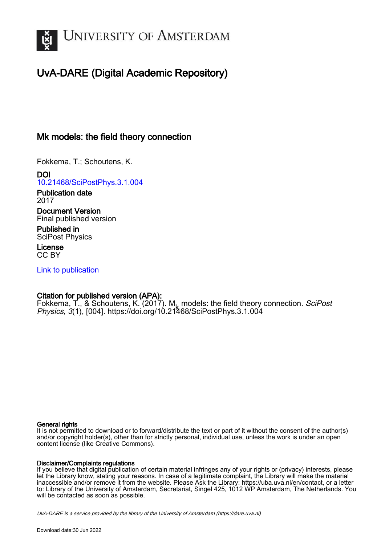

# UvA-DARE (Digital Academic Repository)

# Mk models: the field theory connection

Fokkema, T.; Schoutens, K.

DOI [10.21468/SciPostPhys.3.1.004](https://doi.org/10.21468/SciPostPhys.3.1.004)

Publication date 2017

Document Version Final published version

Published in SciPost Physics

License CC BY

[Link to publication](https://dare.uva.nl/personal/pure/en/publications/mk-models-the-field-theory-connection(09683261-fe31-463f-a7eb-ff4b61b36b68).html)

# Citation for published version (APA):

Fokkema, T., & Schoutens, K. (2017). M<sub>y</sub> models: the field theory connection. *SciPost*<br>*Physics*, 3(1), I0041, https://doi.org/10.21/168/SciPostPhys.3.1.004 Physics, 3(1), [004].<https://doi.org/10.21468/SciPostPhys.3.1.004>

## General rights

It is not permitted to download or to forward/distribute the text or part of it without the consent of the author(s) and/or copyright holder(s), other than for strictly personal, individual use, unless the work is under an open content license (like Creative Commons).

## Disclaimer/Complaints regulations

If you believe that digital publication of certain material infringes any of your rights or (privacy) interests, please let the Library know, stating your reasons. In case of a legitimate complaint, the Library will make the material inaccessible and/or remove it from the website. Please Ask the Library: https://uba.uva.nl/en/contact, or a letter to: Library of the University of Amsterdam, Secretariat, Singel 425, 1012 WP Amsterdam, The Netherlands. You will be contacted as soon as possible.

UvA-DARE is a service provided by the library of the University of Amsterdam (http*s*://dare.uva.nl)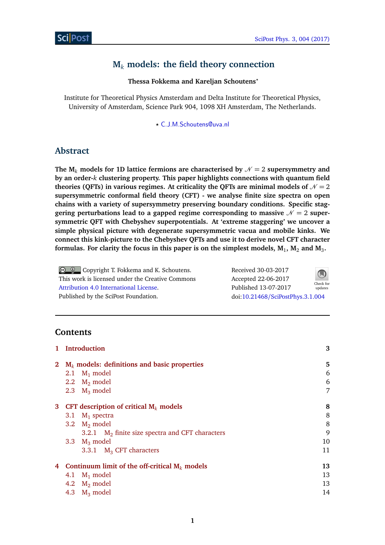# **M***<sup>k</sup>* **models: the field theory connection**

**Thessa Fokkema and Kareljan Schoutens***?*

Institute for Theoretical Physics Amsterdam and Delta Institute for Theoretical Physics, University of Amsterdam, Science Park 904, 1098 XH Amsterdam, The Netherlands.

*?* [C.J.M.Schoutens@uva.nl](mailto:C.J.M.Schoutens@uva.nl)

# **Abstract**

The  $M_k$  models for 1D lattice fermions are characterised by  $N = 2$  supersymmetry and **by an order-***k* **clustering property. This paper highlights connections with quantum field** theories (QFTs) in various regimes. At criticality the QFTs are minimal models of  $N = 2$ **supersymmetric conformal field theory (CFT) - we analyse finite size spectra on open chains with a variety of supersymmetry preserving boundary conditions. Specific stag**gering perturbations lead to a gapped regime corresponding to massive  $\mathcal{N} = 2$  super**symmetric QFT with Chebyshev superpotentials. At 'extreme staggering' we uncover a simple physical picture with degenerate supersymmetric vacua and mobile kinks. We connect this kink-picture to the Chebyshev QFTs and use it to derive novel CFT character** formulas. For clarity the focus in this paper is on the simplest models,  $\textbf{M}_{1}$ ,  $\textbf{M}_{2}$  and  $\textbf{M}_{3}$ .

Copyright T. Fokkema and K. Schoutens. This work is licensed under the Creative Commons [Attribution 4.0 International License.](http://creativecommons.org/licenses/by/4.0/) Published by the SciPost Foundation.

| Received 30-03-2017              |                      |
|----------------------------------|----------------------|
| Accepted 22-06-2017              |                      |
| Published 13-07-2017             | Check for<br>updates |
| doi:10.21468/SciPostPhys.3.1.004 |                      |

# **Contents**

| 1            | <b>Introduction</b>                                |    |  |  |  |
|--------------|----------------------------------------------------|----|--|--|--|
| $\mathbf{2}$ | $M_k$ models: definitions and basic properties     | 5  |  |  |  |
|              | $M_1$ model<br>2.1                                 | 6  |  |  |  |
|              | 2.2 $M_2$ model                                    | 6  |  |  |  |
|              | 2.3 $M_3$ model                                    | 7  |  |  |  |
| $\mathbf{3}$ | CFT description of critical $M_k$ models           | 8  |  |  |  |
|              | $M_1$ spectra<br>3.1                               | 8  |  |  |  |
|              | 3.2 $M_2$ model                                    | 8  |  |  |  |
|              | 3.2.1 $M_2$ finite size spectra and CFT characters | 9  |  |  |  |
|              | 3.3 $M_3$ model                                    | 10 |  |  |  |
|              | 3.3.1 $M_3$ CFT characters                         | 11 |  |  |  |
| 4            | Continuum limit of the off-critical $M_k$ models   | 13 |  |  |  |
|              | $M_1$ model<br>4.1                                 | 13 |  |  |  |
|              | 4.2 $M_2$ model                                    | 13 |  |  |  |
|              | $M_3$ model<br>4.3                                 | 14 |  |  |  |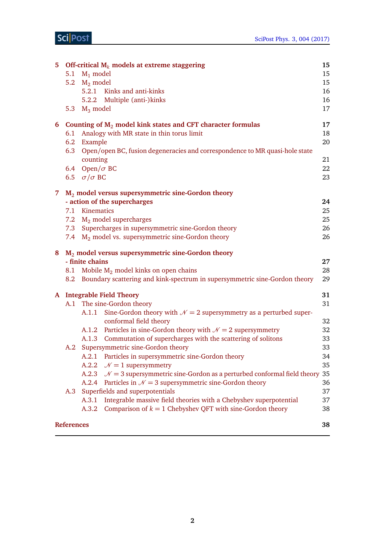|    | 5 Off-critical $M_k$ models at extreme staggering<br>15  |                                                                                             |    |  |  |  |  |  |
|----|----------------------------------------------------------|---------------------------------------------------------------------------------------------|----|--|--|--|--|--|
|    | 5.1                                                      | $M_1$ model                                                                                 |    |  |  |  |  |  |
|    |                                                          | 5.2 $M_2$ model                                                                             | 15 |  |  |  |  |  |
|    |                                                          | 5.2.1 Kinks and anti-kinks                                                                  | 16 |  |  |  |  |  |
|    |                                                          | 5.2.2 Multiple (anti-)kinks                                                                 | 16 |  |  |  |  |  |
|    | 5.3                                                      | $M_3$ model                                                                                 | 17 |  |  |  |  |  |
|    |                                                          | 6 Counting of $M_2$ model kink states and CFT character formulas                            | 17 |  |  |  |  |  |
|    | 6.1                                                      | Analogy with MR state in thin torus limit                                                   | 18 |  |  |  |  |  |
|    |                                                          | 6.2 Example                                                                                 | 20 |  |  |  |  |  |
|    |                                                          | 6.3 Open/open BC, fusion degeneracies and correspondence to MR quasi-hole state<br>counting | 21 |  |  |  |  |  |
|    |                                                          | 6.4 Open/ $\sigma$ BC                                                                       | 22 |  |  |  |  |  |
|    |                                                          | 6.5 $\sigma/\sigma$ BC                                                                      | 23 |  |  |  |  |  |
|    |                                                          |                                                                                             |    |  |  |  |  |  |
| 7. |                                                          | M <sub>2</sub> model versus supersymmetric sine-Gordon theory                               |    |  |  |  |  |  |
|    |                                                          | - action of the supercharges                                                                | 24 |  |  |  |  |  |
|    |                                                          | 7.1 Kinematics                                                                              | 25 |  |  |  |  |  |
|    |                                                          | 7.2 M <sub>2</sub> model supercharges                                                       | 25 |  |  |  |  |  |
|    | 7.3                                                      | Supercharges in supersymmetric sine-Gordon theory                                           | 26 |  |  |  |  |  |
|    | 7.4                                                      | $M_2$ model vs. supersymmetric sine-Gordon theory                                           | 26 |  |  |  |  |  |
|    | $M2$ model versus supersymmetric sine-Gordon theory<br>8 |                                                                                             |    |  |  |  |  |  |
|    |                                                          |                                                                                             |    |  |  |  |  |  |
|    |                                                          | - finite chains                                                                             | 27 |  |  |  |  |  |
|    |                                                          | 8.1 Mobile $M_2$ model kinks on open chains                                                 | 28 |  |  |  |  |  |
|    |                                                          | 8.2 Boundary scattering and kink-spectrum in supersymmetric sine-Gordon theory              | 29 |  |  |  |  |  |
|    |                                                          | A Integrable Field Theory                                                                   | 31 |  |  |  |  |  |
|    |                                                          | A.1 The sine-Gordon theory                                                                  | 31 |  |  |  |  |  |
|    |                                                          | Sine-Gordon theory with $\mathcal{N}=2$ supersymmetry as a perturbed super-<br>A.1.1        |    |  |  |  |  |  |
|    |                                                          | conformal field theory                                                                      | 32 |  |  |  |  |  |
|    |                                                          | A.1.2 Particles in sine-Gordon theory with $\mathcal{N}=2$ supersymmetry                    | 32 |  |  |  |  |  |
|    |                                                          | Commutation of supercharges with the scattering of solitons<br>A.1.3                        | 33 |  |  |  |  |  |
|    |                                                          | A.2 Supersymmetric sine-Gordon theory                                                       | 33 |  |  |  |  |  |
|    |                                                          | A.2.1 Particles in supersymmetric sine-Gordon theory                                        | 34 |  |  |  |  |  |
|    |                                                          | $N = 1$ supersymmetry<br>A.2.2                                                              | 35 |  |  |  |  |  |
|    |                                                          | A.2.3 $\mathcal{N} = 3$ supersymmetric sine-Gordon as a perturbed conformal field theory    | 35 |  |  |  |  |  |
|    |                                                          | A.2.4 Particles in $\mathcal{N} = 3$ supersymmetric sine-Gordon theory                      | 36 |  |  |  |  |  |
|    | A.3                                                      | Superfields and superpotentials                                                             | 37 |  |  |  |  |  |
|    |                                                          | Integrable massive field theories with a Chebyshev superpotential<br>A.3.1                  | 37 |  |  |  |  |  |
|    |                                                          | Comparison of $k = 1$ Chebyshev QFT with sine-Gordon theory<br>A.3.2                        | 38 |  |  |  |  |  |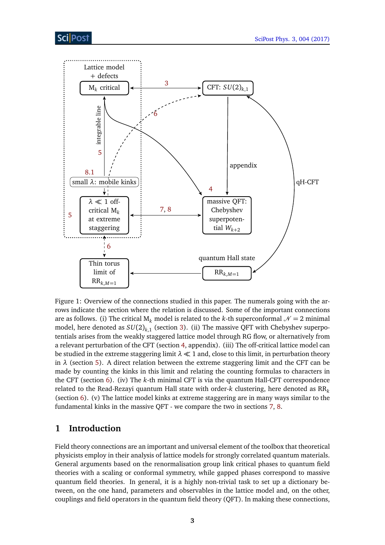

Figure 1: Overview of the connections studied in this paper. The numerals going with the arrows indicate the section where the relation is discussed. Some of the important connections are as follows. (i) The critical  $M_k$  model is related to the *k*-th superconformal  $\mathcal{N} = 2$  minimal model, here denoted as  $SU(2)_{k,1}$  (section [3\)](#page-8-0). (ii) The massive QFT with Chebyshev superpotentials arises from the weakly staggered lattice model through RG flow, or alternatively from a relevant perturbation of the CFT (section [4,](#page-13-0) appendix). (iii) The off-critical lattice model can be studied in the extreme staggering limit  $\lambda \ll 1$  and, close to this limit, in perturbation theory in  $\lambda$  (section [5\)](#page-15-0). A direct relation between the extreme staggering limit and the CFT can be made by counting the kinks in this limit and relating the counting formulas to characters in the CFT (section [6\)](#page-17-1). (iv) The *k*-th minimal CFT is via the quantum Hall-CFT correspondence related to the Read-Rezayi quantum Hall state with order- $k$  clustering, here denoted as  $RR_k$ (section [6\)](#page-17-1). (v) The lattice model kinks at extreme staggering are in many ways similar to the fundamental kinks in the massive QFT - we compare the two in sections [7,](#page-24-0) [8.](#page-27-0)

# <span id="page-3-0"></span>**1 Introduction**

Field theory connections are an important and universal element of the toolbox that theoretical physicists employ in their analysis of lattice models for strongly correlated quantum materials. General arguments based on the renormalisation group link critical phases to quantum field theories with a scaling or conformal symmetry, while gapped phases correspond to massive quantum field theories. In general, it is a highly non-trivial task to set up a dictionary between, on the one hand, parameters and observables in the lattice model and, on the other, couplings and field operators in the quantum field theory (QFT). In making these connections,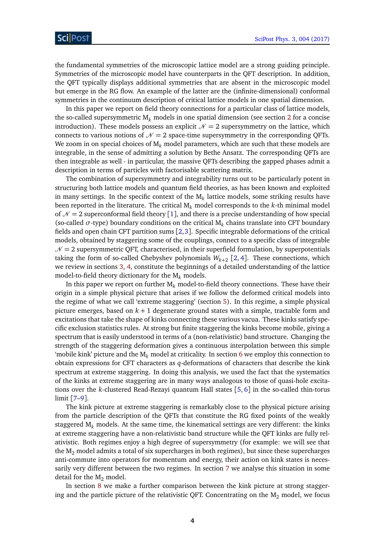the fundamental symmetries of the microscopic lattice model are a strong guiding principle. Symmetries of the microscopic model have counterparts in the QFT description. In addition, the QFT typically displays additional symmetries that are absent in the microscopic model but emerge in the RG flow. An example of the latter are the (infinite-dimensional) conformal symmetries in the continuum description of critical lattice models in one spatial dimension.

In this paper we report on field theory connections for a particular class of lattice models, the so-called supersymmetric  $M_k$  models in one spatial dimension (see section [2](#page-5-0) for a concise introduction). These models possess an explicit  $\mathcal{N} = 2$  supersymmetry on the lattice, which connects to various notions of  $\mathcal{N} = 2$  space-time supersymmetry in the corresponding QFTs. We zoom in on special choices of M<sub>k</sub> model parameters, which are such that these models are integrable, in the sense of admitting a solution by Bethe Ansatz. The corresponding QFTs are then integrable as well - in particular, the massive QFTs describing the gapped phases admit a description in terms of particles with factorisable scattering matrix.

The combination of supersymmetry and integrability turns out to be particularly potent in structuring both lattice models and quantum field theories, as has been known and exploited in many settings. In the specific context of the  $\mathrm{M}_k$  lattice models, some striking results have been reported in the literature. The critical M*<sup>k</sup>* model corresponds to the *k*-th minimal model of  $\mathcal{N} = 2$  superconformal field theory [[1](#page-38-1)], and there is a precise understanding of how special (so-called  $\sigma$ -type) boundary conditions on the critical  $M_k$  chains translate into CFT boundary fields and open chain CFT partition sums [[2,](#page-38-2)[3](#page-38-3)]. Specific integrable deformations of the critical models, obtained by staggering some of the couplings, connect to a specific class of integrable  $N = 2$  supersymmetric QFT, characterised, in their superfield formulation, by superpotentials taking the form of so-called Chebyshev polynomials  $W_{k+2}$  [[2,](#page-38-2) [4](#page-38-4)]. These connections, which we review in sections [3,](#page-8-0) [4,](#page-13-0) constitute the beginnings of a detailed understanding of the lattice model-to-field theory dictionary for the M*<sup>k</sup>* models.

In this paper we report on further  $M_k$  model-to-field theory connections. These have their origin in a simple physical picture that arises if we follow the deformed critical models into the regime of what we call 'extreme staggering' (section [5\)](#page-15-0). In this regime, a simple physical picture emerges, based on *k* + 1 degenerate ground states with a simple, tractable form and excitations that take the shape of kinks connecting these various vacua. These kinks satisfy specific exclusion statistics rules. At strong but finite staggering the kinks become mobile, giving a spectrum that is easily understood in terms of a (non-relativistic) band structure. Changing the strength of the staggering deformation gives a continuous interpolation between this simple 'mobile kink' picture and the M*<sup>k</sup>* model at criticality. In section [6](#page-17-1) we employ this connection to obtain expressions for CFT characters as *q*-deformations of characters that describe the kink spectrum at extreme staggering. In doing this analysis, we used the fact that the systematics of the kinks at extreme staggering are in many ways analogous to those of quasi-hole excitations over the *k*-clustered Read-Rezayi quantum Hall states [[5,](#page-38-5) [6](#page-38-6)] in the so-called thin-torus limit [[7](#page-38-7)[–9](#page-38-8)].

The kink picture at extreme staggering is remarkably close to the physical picture arising from the particle description of the QFTs that constitute the RG fixed points of the weakly staggered M*<sup>k</sup>* models. At the same time, the kinematical settings are very different: the kinks at extreme staggering have a non-relativistic band structure while the QFT kinks are fully relativistic. Both regimes enjoy a high degree of supersymmetry (for example: we will see that the  $M_2$  model admits a total of six supercharges in both regimes), but since these supercharges anti-commute into operators for momentum and energy, their action on kink states is necessarily very different between the two regimes. In section [7](#page-24-0) we analyse this situation in some detail for the  $M_2$  model.

In section [8](#page-27-0) we make a further comparison between the kink picture at strong staggering and the particle picture of the relativistic QFT. Concentrating on the  $M_2$  model, we focus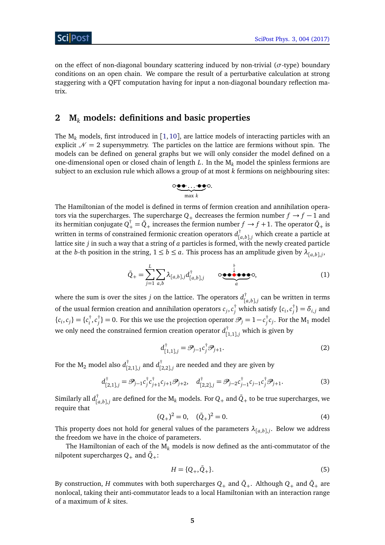on the effect of non-diagonal boundary scattering induced by non-trivial (*σ*-type) boundary conditions on an open chain. We compare the result of a perturbative calculation at strong staggering with a QFT computation having for input a non-diagonal boundary reflection matrix.

# <span id="page-5-0"></span>**2 M***<sup>k</sup>* **models: definitions and basic properties**

The M*<sup>k</sup>* models, first introduced in [[1,](#page-38-1) [10](#page-38-9)], are lattice models of interacting particles with an explicit  $\mathcal{N} = 2$  supersymmetry. The particles on the lattice are fermions without spin. The models can be defined on general graphs but we will only consider the model defined on a one-dimensional open or closed chain of length *L*. In the M*<sup>k</sup>* model the spinless fermions are subject to an exclusion rule which allows a group of at most *k* fermions on neighbouring sites:

$$
\circ \underbrace{\bullet \bullet \ldots \bullet \bullet}_{\max k} \circ
$$

The Hamiltonian of the model is defined in terms of fermion creation and annihilation operators via the supercharges. The supercharge  $Q_+$  decreases the fermion number  $f \rightarrow f - 1$  and its hermitian conjugate  $Q_+^{\dagger} = \bar{Q}_+$  increases the fermion number  $f \to f+1$ . The operator  $\bar{Q}_+$  is written in terms of constrained fermionic creation operators *d* †  $\left[\begin{smallmatrix} a,b \end{smallmatrix}\right]$ *j* which create a particle at lattice site *j* in such a way that a string of *a* particles is formed, with the newly created particle at the *b*-th position in the string,  $1 \le b \le a$ . This process has an amplitude given by  $\lambda_{[a,b],j}$ ,

$$
\bar{Q}_{+} = \sum_{j=1}^{L} \sum_{a,b} \lambda_{[a,b],j} d_{[a,b],j}^{\dagger} \qquad \circ \underbrace{\bullet \bullet \bullet \bullet \bullet}_{a} \circ , \qquad (1)
$$

where the sum is over the sites *j* on the lattice. The operators *d* †  $\int [a,b]$ ,*j* can be written in terms of the usual fermion creation and annihilation operators  $c_j, c_j^{\dagger}$  which satisfy  $\{c_i, c_j^{\dagger}$  $\delta_{j}^{\dagger}\}=\delta_{i,j}$  and  ${c_i, c_j} = {c_i^{\dagger}}$  $i^{\dagger}$ ,  $c_j^{\dagger}$  $j_j^{\dagger} \} = 0.$  For this we use the projection operator  $\mathscr{P}_j = 1 - c_j^{\dagger}$  $\int\limits_{j}^{1}c_{j}.$  For the M<sub>1</sub> model we only need the constrained fermion creation operator *d* †  $\binom{1}{1,1},$ *j* which is given by

$$
d_{[1,1],j}^{\dagger} = \mathcal{P}_{j-1} c_j^{\dagger} \mathcal{P}_{j+1}.
$$
 (2)

For the  $M_2$  model also  $d_{12}^{\dagger}$  $_{[2,1],j}^{^{\dagger}}$  and  $d_{[j]}^{^{\dagger}}$  $\int_{[2,2],j}^{j}$  are needed and they are given by

$$
d_{[2,1],j}^{\dagger} = \mathscr{P}_{j-1} c_j^{\dagger} c_{j+1}^{\dagger} c_{j+1} \mathscr{P}_{j+2}, \quad d_{[2,2],j}^{\dagger} = \mathscr{P}_{j-2} c_{j-1}^{\dagger} c_{j-1} c_j^{\dagger} \mathscr{P}_{j+1}.
$$
 (3)

Similarly all *d* †  $\prod_{[a,b],j}^{\dagger}$  are defined for the  $\textsf{M}_k$  models. For  $Q_+$  and  $\bar{Q}_+$  to be true supercharges, we require that

$$
(Q_+)^2 = 0, \quad (\bar{Q}_+)^2 = 0.
$$
 (4)

This property does not hold for general values of the parameters  $\lambda_{[a,b],j}$ . Below we address the freedom we have in the choice of parameters.

The Hamiltonian of each of the  $M_k$  models is now defined as the anti-commutator of the nilpotent supercharges  $Q_+$  and  $\bar{Q}_+$ :

$$
H = \{Q_+, \bar{Q}_+\}.
$$
 (5)

By construction, *H* commutes with both supercharges  $Q_+$  and  $\bar{Q}_+$ . Although  $Q_+$  and  $\bar{Q}_+$  are nonlocal, taking their anti-commutator leads to a local Hamiltonian with an interaction range of a maximum of *k* sites.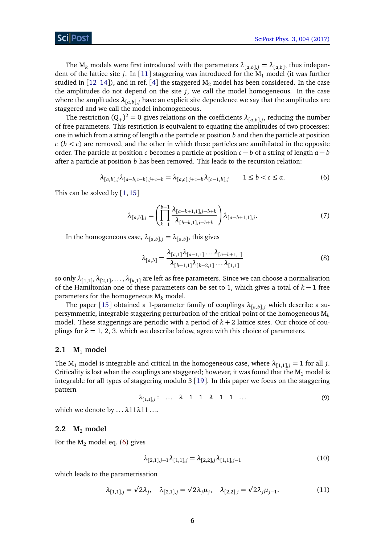The  $M_k$  models were first introduced with the parameters  $\lambda_{[a,b],j} = \lambda_{[a,b]}$ , thus independent of the lattice site *j*. In [[11](#page-39-0)] staggering was introduced for the  $M_1$  model (it was further studied in  $[12-14]$  $[12-14]$  $[12-14]$ ), and in ref. [[4](#page-38-4)] the staggered  $M<sub>2</sub>$  model has been considered. In the case the amplitudes do not depend on the site *j*, we call the model homogeneous. In the case where the amplitudes  $\lambda_{[a,b],j}$  have an explicit site dependence we say that the amplitudes are staggered and we call the model inhomogeneous.

The restriction  $(Q_+)^2 = 0$  gives relations on the coefficients  $\lambda_{[a,b],j}$ , reducing the number of free parameters. This restriction is equivalent to equating the amplitudes of two processes: one in which from a string of length *a* the particle at position *b* and then the particle at position  $c (b < c)$  are removed, and the other in which these particles are annihilated in the opposite order. The particle at position *c* becomes a particle at position  $c - b$  of a string of length  $a - b$ after a particle at position *b* has been removed. This leads to the recursion relation:

$$
\lambda_{[a,b],j}\lambda_{[a-b,c-b],j+c-b} = \lambda_{[a,c],j+c-b}\lambda_{[c-1,b],j} \qquad 1 \le b < c \le a.
$$
 (6)

This can be solved by  $[1,15]$  $[1,15]$  $[1,15]$  $[1,15]$ 

<span id="page-6-2"></span>
$$
\lambda_{[a,b],j} = \left(\prod_{k=1}^{b-1} \frac{\lambda_{[a-k+1,1],j-b+k}}{\lambda_{[b-k,1],j-b+k}}\right) \lambda_{[a-b+1,1],j}.
$$
\n(7)

In the homogeneous case,  $\lambda_{[a,b],j} = \lambda_{[a,b]}$ , this gives

$$
\lambda_{[a,b]} = \frac{\lambda_{[a,1]}\lambda_{[a-1,1]}\dots\lambda_{[a-b+1,1]}}{\lambda_{[b-1,1]}\lambda_{[b-2,1]}\dots\lambda_{[1,1]}}\tag{8}
$$

so only  $\lambda_{[1,1]},\lambda_{[2,1]},\ldots,\lambda_{[k,1]}$  are left as free parameters. Since we can choose a normalisation of the Hamiltonian one of these parameters can be set to 1, which gives a total of *k* − 1 free parameters for the homogeneous M*<sup>k</sup>* model.

The paper [[15](#page-39-3)] obtained a 1-parameter family of couplings  $\lambda_{[a,b],j}$  which describe a supersymmetric, integrable staggering perturbation of the critical point of the homogeneous M*<sup>k</sup>* model. These staggerings are periodic with a period of  $k + 2$  lattice sites. Our choice of couplings for  $k = 1, 2, 3$ , which we describe below, agree with this choice of parameters.

## <span id="page-6-0"></span>2.1  $M_1$  model

The M<sub>1</sub> model is integrable and critical in the homogeneous case, where  $\lambda_{[1,1],j} = 1$  for all *j*. Criticality is lost when the couplings are staggered; however, it was found that the  $M_1$  model is integrable for all types of staggering modulo 3 [[19](#page-39-4)]. In this paper we focus on the staggering pattern

$$
\lambda_{[1,1],j}: \ldots \lambda \quad 1 \quad 1 \quad \lambda \quad 1 \quad 1 \quad \ldots \tag{9}
$$

which we denote by . . .*λ*11*λ*11 . . ..

#### <span id="page-6-1"></span>**2.2 M**<sup>2</sup> **model**

For the  $M_2$  model eq. [\(6\)](#page-6-2) gives

<span id="page-6-3"></span>
$$
\lambda_{[2,1],j-1}\lambda_{[1,1],j} = \lambda_{[2,2],j}\lambda_{[1,1],j-1}
$$
\n(10)

which leads to the parametrisation

$$
\lambda_{[1,1],j} = \sqrt{2}\lambda_j, \quad \lambda_{[2,1],j} = \sqrt{2}\lambda_j \mu_j, \quad \lambda_{[2,2],j} = \sqrt{2}\lambda_j \mu_{j-1}.
$$
 (11)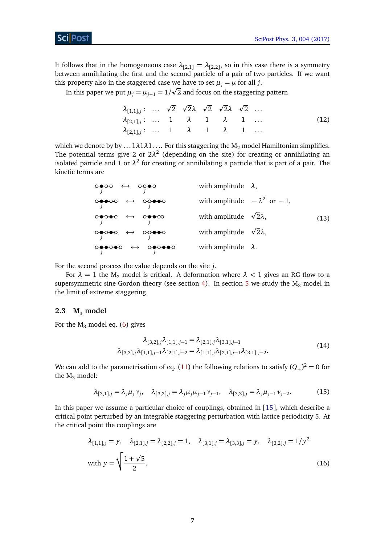It follows that in the homogeneous case  $\lambda_{[2,1]}=\lambda_{[2,2]}$ , so in this case there is a symmetry between annihilating the first and the second particle of a pair of two particles. If we want this property also in the staggered case we have to set  $\mu_j = \mu$  for all *j*.

In this paper we put  $\mu_j = \mu_{j+1} = 1/\surd 2$  and focus on the staggering pattern

<span id="page-7-1"></span>
$$
\lambda_{[1,1],j}: \ldots \sqrt{2} \sqrt{2}\lambda \sqrt{2} \sqrt{2}\lambda \sqrt{2} \ldots
$$
  
\n
$$
\lambda_{[2,1],j}: \ldots \quad 1 \quad \lambda \quad 1 \quad \lambda \quad 1 \quad \ldots
$$
  
\n
$$
\lambda_{[2,1],j}: \ldots \quad 1 \quad \lambda \quad 1 \quad \lambda \quad 1 \quad \ldots
$$
  
\n(12)

which we denote by by  $\dots$  1 $\lambda$ 1 $\lambda$ 1 $\dots$  For this staggering the M<sub>2</sub> model Hamiltonian simplifies. The potential terms give 2 or  $2\lambda^2$  (depending on the site) for creating or annihilating an isolated particle and 1 or  $\lambda^2$  for creating or annihilating a particle that is part of a pair. The kinetic terms are

> <span id="page-7-2"></span>*j*  $\leftrightarrow$ *j* with amplitude *λ*, *j*  $\leftrightarrow$  $\overrightarrow{O}$  →  $\overrightarrow{O}$  with amplitude  $-\lambda^2$  or  $-1$ , *j*  $\leftrightarrow$ *j* → ∞ *with amplitude*  $\sqrt{2}λ$ , *j*  $\leftrightarrow$ *j* with amplitude <sup>p</sup> 2*λ*, *j*  $\leftrightarrow$ *j* with amplitude *λ*. (13)

For the second process the value depends on the site *j*.

For  $\lambda = 1$  the M<sub>2</sub> model is critical. A deformation where  $\lambda < 1$  gives an RG flow to a supersymmetric sine-Gordon theory (see section [4\)](#page-13-0). In section [5](#page-15-0) we study the  $M_2$  model in the limit of extreme staggering.

## <span id="page-7-0"></span>**2.3 M**<sup>3</sup> **model**

For the  $M_3$  model eq. [\(6\)](#page-6-2) gives

$$
\lambda_{[3,2],j}\lambda_{[1,1],j-1} = \lambda_{[2,1],j}\lambda_{[3,1],j-1}
$$
\n
$$
\lambda_{[3,3],j}\lambda_{[1,1],j-1}\lambda_{[2,1],j-2} = \lambda_{[1,1],j}\lambda_{[2,1],j-1}\lambda_{[3,1],j-2}.
$$
\n(14)

We can add to the parametrisation of eq. [\(11\)](#page-6-3) the following relations to satisfy  $(Q_+)^2 = 0$  for the  $M_3$  model:

$$
\lambda_{[3,1],j} = \lambda_j \mu_j \nu_j, \quad \lambda_{[3,2],j} = \lambda_j \mu_j \mu_{j-1} \nu_{j-1}, \quad \lambda_{[3,3],j} = \lambda_j \mu_{j-1} \nu_{j-2}.
$$
 (15)

In this paper we assume a particular choice of couplings, obtained in [[15](#page-39-3)], which describe a critical point perturbed by an integrable staggering perturbation with lattice periodicity 5. At the critical point the couplings are

$$
\lambda_{[1,1],j} = y, \quad \lambda_{[2,1],j} = \lambda_{[2,2],j} = 1, \quad \lambda_{[3,1],j} = \lambda_{[3,3],j} = y, \quad \lambda_{[3,2],j} = 1/y^2
$$
  
with  $y = \sqrt{\frac{1 + \sqrt{5}}{2}}$ . (16)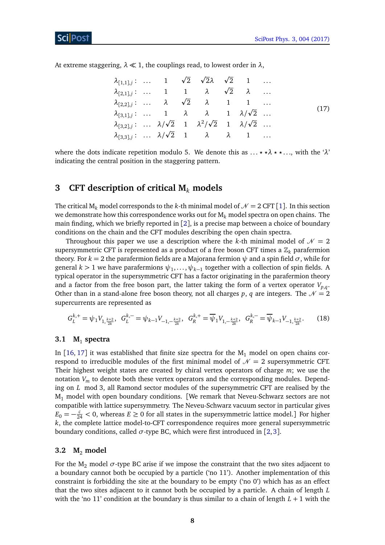At extreme staggering,  $\lambda \ll 1$ , the couplings read, to lowest order in  $\lambda$ ,

<span id="page-8-3"></span>

|  |  | $\lambda_{[1,1],j}:$ 1 $\sqrt{2}$ $\sqrt{2}\lambda$ $\sqrt{2}$ 1                    |  |  |
|--|--|-------------------------------------------------------------------------------------|--|--|
|  |  | $\lambda_{[2,1],j}:$ 1 1 $\lambda$ $\sqrt{2}$ $\lambda$                             |  |  |
|  |  | $\lambda_{[2,2],j}:$ $\lambda$ $\sqrt{2}$ $\lambda$ 1 1                             |  |  |
|  |  | $\lambda_{[3,1],j}:$ 1 $\lambda$ $\lambda$ 1 $\lambda/\sqrt{2}$                     |  |  |
|  |  | $\lambda_{[3,2],j}:$ $\lambda/\sqrt{2}$ 1 $\lambda^2/\sqrt{2}$ 1 $\lambda/\sqrt{2}$ |  |  |
|  |  | $\lambda_{[3,3],j}: \ldots \lambda/\sqrt{2}$ 1 $\lambda$ $\lambda$ 1                |  |  |

where the dots indicate repetition modulo 5. We denote this as  $\dots$   $\star \star \lambda$   $\star \star \dots$ , with the ' $\lambda$ ' indicating the central position in the staggering pattern.

# <span id="page-8-0"></span>**3 CFT description of critical M***<sup>k</sup>* **models**

The critical  $M_k$  model corresponds to the *k*-th minimal model of  $\mathcal{N} = 2$  CFT [[1](#page-38-1)]. In this section we demonstrate how this correspondence works out for M*<sup>k</sup>* model spectra on open chains. The main finding, which we briefly reported in [[2](#page-38-2)], is a precise map between a choice of boundary conditions on the chain and the CFT modules describing the open chain spectra.

Throughout this paper we use a description where the *k*-th minimal model of  $\mathcal{N} = 2$ supersymmetric CFT is represented as a product of a free boson CFT times a  $\mathbb{Z}_k$  parafermion theory. For *k* = 2 the parafermion fields are a Majorana fermion *ψ* and a spin field *σ*, while for general  $k > 1$  we have parafermions  $\psi_1, \ldots, \psi_{k-1}$  together with a collection of spin fields. A typical operator in the supersymmetric CFT has a factor originating in the parafermion theory and a factor from the free boson part, the latter taking the form of a vertex operator  $V_{p,q}$ . Other than in a stand-alone free boson theory, not all charges p, q are integers. The  $\mathcal{N} = 2$ supercurrents are represented as

$$
G_L^{k,+} = \psi_1 V_{1,\frac{k+2}{2k}}, \quad G_L^{k,-} = \psi_{k-1} V_{-1,-\frac{k+2}{2k}}, \quad G_R^{k,+} = \overline{\psi}_1 V_{1,-\frac{k+2}{2k}}, \quad G_R^{k,-} = \overline{\psi}_{k-1} V_{-1,\frac{k+2}{2k}}.\tag{18}
$$

# <span id="page-8-1"></span>**3.1 M**<sup>1</sup> **spectra**

In [[16,](#page-39-5) [17](#page-39-6)] it was established that finite size spectra for the  $M_1$  model on open chains correspond to irreducible modules of the first minimal model of  $\mathcal{N} = 2$  supersymmetric CFT. Their highest weight states are created by chiral vertex operators of charge *m*; we use the notation *V<sup>m</sup>* to denote both these vertex operators and the corresponding modules. Depending on *L* mod 3, all Ramond sector modules of the supersymmetric CFT are realised by the  $M_1$  model with open boundary conditions. [We remark that Neveu-Schwarz sectors are not compatible with lattice supersymmetry. The Neveu-Schwarz vacuum sector in particular gives  $E_0 = -\frac{c}{24} < 0$ , whereas  $E \ge 0$  for all states in the supersymmetric lattice model.] For higher *k*, the complete lattice model-to-CFT correspondence requires more general supersymmetric boundary conditions, called  $\sigma$ -type BC, which were first introduced in [[2,](#page-38-2)[3](#page-38-3)].

#### <span id="page-8-2"></span>**3.2 M**<sup>2</sup> **model**

For the  $M_2$  model  $\sigma$ -type BC arise if we impose the constraint that the two sites adjacent to a boundary cannot both be occupied by a particle ('no 11'). Another implementation of this constraint is forbidding the site at the boundary to be empty ('no  $0$ ') which has as an effect that the two sites adjacent to it cannot both be occupied by a particle. A chain of length *L* with the 'no 11' condition at the boundary is thus similar to a chain of length *L* + 1 with the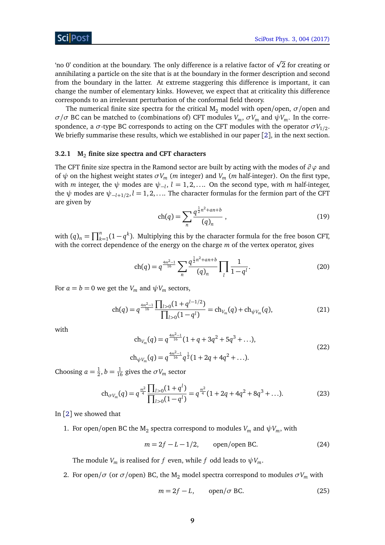'no 0' condition at the boundary. The only difference is a relative factor of  $\sqrt{2}$  for creating or annihilating a particle on the site that is at the boundary in the former description and second from the boundary in the latter. At extreme staggering this difference is important, it can change the number of elementary kinks. However, we expect that at criticality this difference corresponds to an irrelevant perturbation of the conformal field theory.

The numerical finite size spectra for the critical  $M_2$  model with open/open,  $\sigma$ /open and *σ*/*σ* BC can be matched to (combinations of) CFT modules  $V_m$ ,  $\sigma V_m$  and  $\psi V_m$ . In the correspondence, a  $\sigma$ -type BC corresponds to acting on the CFT modules with the operator  $\sigma V_{1/2}.$ We briefly summarise these results, which we established in our paper [[2](#page-38-2)], in the next section.

#### <span id="page-9-0"></span>**3.2.1 M**<sup>2</sup> **finite size spectra and CFT characters**

The CFT finite size spectra in the Ramond sector are built by acting with the modes of *∂ ϕ* and of  $ψ$  on the highest weight states  $σV_m$  (*m* integer) and  $V_m$  (*m* half-integer). On the first type, with  $m$  integer, the  $\psi$  modes are  $\psi_{-l},\, l=1,2,...$  . On the second type, with  $m$  half-integer, the  $\psi$  modes are  $\psi_{-l+1/2}$ ,  $l = 1, 2, ...$  The character formulas for the fermion part of the CFT are given by

$$
ch(q) = \sum_{n} \frac{q^{\frac{1}{2}n^2 + an + b}}{(q)_n},
$$
\n(19)

with  $(q)_n = \prod_{k=1}^n (1 - q^k)$ . Multiplying this by the character formula for the free boson CFT, with the correct dependence of the energy on the charge *m* of the vertex operator, gives

$$
\operatorname{ch}(q) = q^{\frac{4m^2-1}{16}} \sum_{n} \frac{q^{\frac{1}{2}n^2 + an + b}}{(q)_n} \prod_{l} \frac{1}{1 - q^l}.\tag{20}
$$

For  $a = b = 0$  we get the  $V_m$  and  $\psi V_m$  sectors,

$$
\operatorname{ch}(q) = q^{\frac{4m^2-1}{16}} \frac{\prod_{l>0} (1+q^{l-1/2})}{\prod_{l>0} (1-q^l)} = \operatorname{ch}_{V_m}(q) + \operatorname{ch}_{\psi V_m}(q),\tag{21}
$$

<span id="page-9-2"></span>with

<span id="page-9-1"></span>
$$
ch_{V_m}(q) = q^{\frac{4m^2-1}{16}}(1+q+3q^2+5q^3+\ldots),
$$
  
\n
$$
ch_{\psi V_m}(q) = q^{\frac{4m^2-1}{16}}q^{\frac{1}{2}}(1+2q+4q^2+\ldots).
$$
\n(22)

Choosing  $a = \frac{1}{2}$  $\frac{1}{2}$ ,  $b = \frac{1}{16}$  gives the  $\sigma V_m$  sector

$$
\operatorname{ch}_{\sigma V_m}(q) = q^{\frac{m^2}{4}} \frac{\prod_{l>0} (1+q^l)}{\prod_{l>0} (1-q^l)} = q^{\frac{m^2}{4}} (1+2q+4q^2+8q^3+\ldots). \tag{23}
$$

In [[2](#page-38-2)] we showed that

1. For open/open BC the M<sub>2</sub> spectra correspond to modules  $V_m$  and  $\psi V_m$ , with

$$
m = 2f - L - 1/2, \qquad \text{open/open BC.} \tag{24}
$$

The module  $V_m$  is realised for *f* even, while *f* odd leads to  $\psi V_m$ .

2. For open/ $\sigma$  (or  $\sigma$ /open) BC, the M<sub>2</sub> model spectra correspond to modules  $\sigma V_m$  with

$$
m = 2f - L, \qquad \text{open}/\sigma \text{ BC.} \tag{25}
$$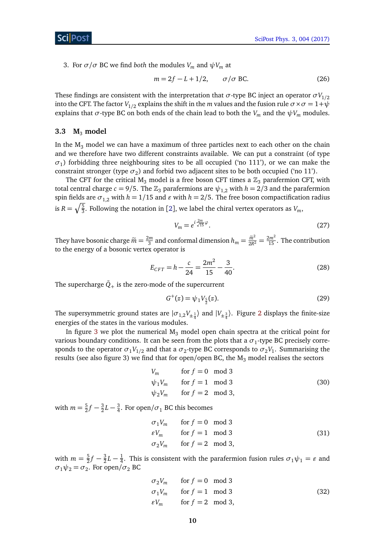3. For  $\sigma/\sigma$  BC we find *both* the modules  $V_m$  and  $\psi V_m$  at

$$
m = 2f - L + 1/2, \qquad \sigma/\sigma \text{ BC.}
$$
 (26)

These findings are consistent with the interpretation that  $\sigma$ -type BC inject an operator  $\sigma V_{1/2}$ into the CFT. The factor  $V_{1/2}$  explains the shift in the *m* values and the fusion rule  $\sigma \times \sigma = 1 + \psi$ explains that  $\sigma$ -type BC on both ends of the chain lead to both the  $V_m$  and the  $\psi V_m$  modules.

#### <span id="page-10-0"></span>**3.3 M**<sup>3</sup> **model**

In the  $M_3$  model we can have a maximum of three particles next to each other on the chain and we therefore have two different constraints available. We can put a constraint (of type *σ*1 ) forbidding three neighbouring sites to be all occupied ('no 111'), or we can make the constraint stronger (type  $\sigma_2$ ) and forbid two adjacent sites to be both occupied ('no 11').

The CFT for the critical M<sub>3</sub> model is a free boson CFT times a  $\mathbb{Z}_3$  parafermion CFT, with total central charge  $c = 9/5$ . The  $\mathbb{Z}_3$  parafermions are  $\psi_{1,2}$  with  $h = 2/3$  and the parafermion spin fields are  $\sigma_{1,2}$  with  $h = 1/15$  and  $\varepsilon$  with  $h = 2/5$ . The free boson compactification radius is  $R = \sqrt{\frac{5}{3}}$ . Following the notation in [[2](#page-38-2)], we label the chiral vertex operators as  $V_m$ ,

$$
V_m = e^{i\frac{2m}{\sqrt{15}}\varphi}.
$$
\n<sup>(27)</sup>

They have bosonic charge  $\tilde{m} = \frac{2m}{3}$  $\frac{2m}{3}$  and conformal dimension  $h_m = \frac{\widetilde{m}^2}{2R^2} = \frac{2m^2}{15}$ . The contribution to the energy of a bosonic vertex operator is

$$
E_{CFT} = h - \frac{c}{24} = \frac{2m^2}{15} - \frac{3}{40}.
$$
 (28)

The supercharge  $\bar{Q}_+$  is the zero-mode of the supercurrent

$$
G^+(z) = \psi_1 V_{\frac{5}{2}}(z). \tag{29}
$$

The supersymmetric ground states are  $|\sigma_{1,2}V_{\pm\frac{1}{4}}\rangle$  $|\sigma_{1,2}V_{\pm\frac{1}{4}}\rangle$  $|\sigma_{1,2}V_{\pm\frac{1}{4}}\rangle$  and  $|V_{\pm\frac{3}{4}}\rangle$ . Figure 2 displays the finite-size energies of the states in the various modules.

In figure [3](#page-12-0) we plot the numerical  $M_3$  model open chain spectra at the critical point for various boundary conditions. It can be seen from the plots that a  $\sigma_1$ -type BC precisely corresponds to the operator  $\sigma_1 V_{1/2}$  and that a  $\sigma_2$ -type BC corresponds to  $\sigma_2 V_1$ . Summarising the results (see also figure 3) we find that for open/open BC, the  $M_3$  model realises the sectors

$$
V_m \qquad \text{for } f = 0 \mod 3
$$
  
\n
$$
\psi_1 V_m \qquad \text{for } f = 1 \mod 3
$$
  
\n
$$
\psi_2 V_m \qquad \text{for } f = 2 \mod 3,
$$
\n(30)

with  $m = \frac{5}{2}$  $\frac{5}{2}f-\frac{3}{2}$  $\frac{3}{2}L - \frac{3}{4}$  $\frac{3}{4}$ . For open/ $\sigma_1$  BC this becomes

$$
\begin{aligned}\n\sigma_1 V_m & \text{for } f = 0 \mod 3 \\
\varepsilon V_m & \text{for } f = 1 \mod 3 \\
\sigma_2 V_m & \text{for } f = 2 \mod 3,\n\end{aligned}\n\tag{31}
$$

with  $m = \frac{5}{2}$  $\frac{5}{2}f-\frac{3}{2}$  $\frac{3}{2}L - \frac{1}{4}$  $\frac{1}{4}$ . This is consistent with the parafermion fusion rules  $\sigma_1 \psi_1 = \varepsilon$  and  $\sigma_1 \psi_2 = \sigma_2$ . For open/ $\sigma_2$  BC

$$
\sigma_2 V_m \quad \text{for } f = 0 \mod 3
$$
  
\n
$$
\sigma_1 V_m \quad \text{for } f = 1 \mod 3
$$
  
\n
$$
\varepsilon V_m \quad \text{for } f = 2 \mod 3,
$$
\n(32)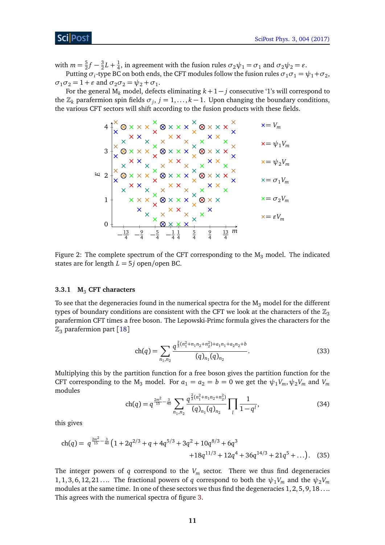with  $m = \frac{5}{2}$  $\frac{5}{2}f-\frac{3}{2}$  $\frac{3}{2}L + \frac{1}{4}$  $\frac{1}{4}$ , in agreement with the fusion rules  $\sigma_2\psi_1 = \sigma_1$  and  $\sigma_2\psi_2 = \varepsilon$ .

Putting  $\sigma_i$ -type BC on both ends, the CFT modules follow the fusion rules  $\sigma_1\sigma_1$  =  $\psi_1$ + $\sigma_2$ ,  $\sigma_1 \sigma_2 = 1 + \varepsilon$  and  $\sigma_2 \sigma_2 = \psi_2 + \sigma_1$ .

For the general M<sub>k</sub> model, defects eliminating  $k + 1 - j$  consecutive '1's will correspond to the  $\mathbb{Z}_k$  parafermion spin fields  $\sigma_j$ ,  $j = 1, ..., k - 1$ . Upon changing the boundary conditions, the various CFT sectors will shift according to the fusion products with these fields.

**×**= *V<sup>m</sup>* **×**= *ψ*1*V<sup>m</sup>* **×**= *ψ*2*V<sup>m</sup>* **×**= *σ*1*V<sup>m</sup>* **×**= *σ*2*V<sup>m</sup>* **×**= *"V<sup>m</sup>* − 13 <sup>4</sup> <sup>−</sup> 9 <sup>4</sup> <sup>−</sup> 5 <sup>4</sup> <sup>−</sup> 1 4 1 4 5 4 9 4 13 4 0 1 2 3 4 *m E*

<span id="page-11-1"></span>Figure 2: The complete spectrum of the CFT corresponding to the  $M_3$  model. The indicated states are for length  $L = 5j$  open/open BC.

#### <span id="page-11-0"></span>**3.3.1 M**<sup>3</sup> **CFT characters**

To see that the degeneracies found in the numerical spectra for the  $M_3$  model for the different types of boundary conditions are consistent with the CFT we look at the characters of the  $\mathbb{Z}_3$ parafermion CFT times a free boson. The Lepowski-Primc formula gives the characters for the  $\mathbb{Z}_3$  parafermion part [[18](#page-39-7)]

$$
ch(q) = \sum_{n_1, n_2} \frac{q^{\frac{2}{3}(n_1^2 + n_1 n_2 + n_2^2) + a_1 n_1 + a_2 n_2 + b}}{(q)_{n_1} (q)_{n_2}}.
$$
\n(33)

<span id="page-11-2"></span>Multiplying this by the partition function for a free boson gives the partition function for the CFT corresponding to the M<sub>3</sub> model. For  $a_1 = a_2 = b = 0$  we get the  $\psi_1 V_m$ ,  $\psi_2 V_m$  and  $V_m$ modules

$$
\operatorname{ch}(q) = q^{\frac{2m^2}{15} - \frac{3}{40}} \sum_{n_1, n_2} \frac{q^{\frac{2}{3}(n_1^2 + n_1 n_2 + n_2^2)}}{(q)_{n_1}(q)_{n_2}} \prod_{l} \frac{1}{1 - q^l},\tag{34}
$$

this gives

$$
\text{ch}(q) = q^{\frac{2m^2}{15} - \frac{3}{40}} \left( 1 + 2q^{2/3} + q + 4q^{5/3} + 3q^2 + 10q^{8/3} + 6q^3 + 18q^{11/3} + 12q^4 + 36q^{14/3} + 21q^5 + \ldots \right). \tag{35}
$$

The integer powers of  $q$  correspond to the  $V_m$  sector. There we thus find degeneracies 1, 1, 3, 6, 12, 21 . . .. The fractional powers of *q* correspond to both the  $\psi_1 V_m$  and the  $\psi_2 V_m$ modules at the same time. In one of these sectors we thus find the degeneracies 1, 2, 5, 9, 18 . . .. This agrees with the numerical spectra of figure [3.](#page-12-0)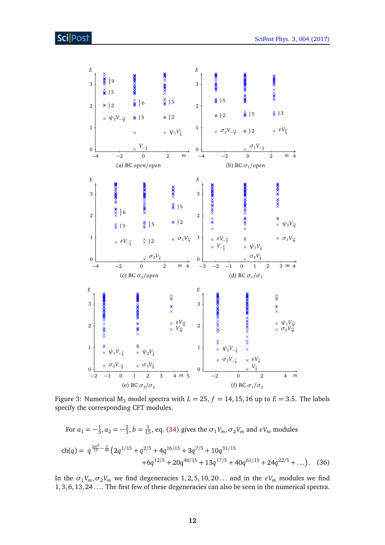

<span id="page-12-0"></span>Figure 3: Numerical  $M_3$  model spectra with  $L = 25$ ,  $f = 14$ , 15, 16 up to  $E = 3.5$ . The labels specify the corresponding CFT modules.

For 
$$
a_1 = -\frac{1}{3}
$$
,  $a_2 = -\frac{2}{3}$ ,  $b = \frac{1}{15}$ , eq. (34) gives the  $\sigma_1 V_m$ ,  $\sigma_2 V_m$  and  $\varepsilon V_m$  modules  
\n
$$
\text{ch}(q) = q^{\frac{2m^2}{15} - \frac{3}{40}} \left( 2q^{1/15} + q^{2/5} + 4q^{16/15} + 3q^{7/5} + 10q^{31/15} + 6q^{12/5} + 20q^{46/15} + 13q^{17/5} + 40q^{61/15} + 24q^{22/5} + \dots \right).
$$
\n(36)

In the  $\sigma_1 V_m$ ,  $\sigma_2 V_m$  we find degeneracies 1, 2, 5, 10, 20... and in the  $\epsilon V_m$  modules we find 1, 3, 6, 13, 24 . . .. The first few of these degeneracies can also be seen in the numerical spectra.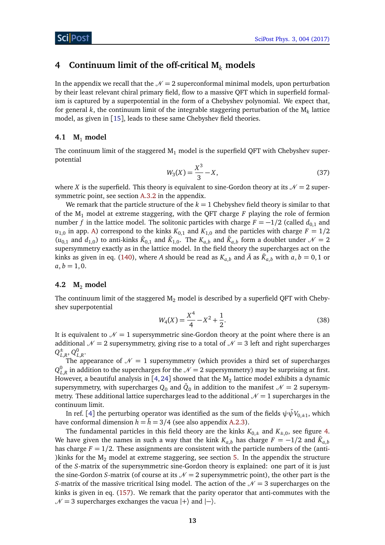# <span id="page-13-0"></span>**4 Continuum limit of the off-critical M***<sup>k</sup>* **models**

In the appendix we recall that the  $\mathcal{N} = 2$  superconformal minimal models, upon perturbation by their least relevant chiral primary field, flow to a massive QFT which in superfield formalism is captured by a superpotential in the form of a Chebyshev polynomial. We expect that, for general *k*, the continuum limit of the integrable staggering perturbation of the M*<sup>k</sup>* lattice model, as given in [[15](#page-39-3)], leads to these same Chebyshev field theories.

# <span id="page-13-1"></span>4.1  $M_1$  model

The continuum limit of the staggered  $M_1$  model is the superfield QFT with Chebyshev superpotential

$$
W_3(X) = \frac{X^3}{3} - X,\tag{37}
$$

where *X* is the superfield. This theory is equivalent to sine-Gordon theory at its  $\mathcal{N} = 2$  supersymmetric point, see section [A.3.2](#page-38-0) in the appendix.

We remark that the particle structure of the  $k = 1$  Chebyshev field theory is similar to that of the M<sup>1</sup> model at extreme staggering, with the QFT charge *F* playing the role of fermion number *f* in the lattice model. The solitonic particles with charge  $F = -1/2$  (called  $d_{0,1}$  and  $u_{1,0}$  in app. [A\)](#page-31-0) correspond to the kinks  $K_{0,1}$  and  $K_{1,0}$  and the particles with charge  $F = 1/2$  $(u_{0,1}$  and  $d_{1,0}$ ) to anti-kinks  $\bar{K}_{0,1}$  and  $\bar{K}_{1,0}$ . The  $K_{a,b}$  and  $\bar{K}_{a,b}$  form a doublet under  $\mathcal{N}=2$ supersymmetry exactly as in the lattice model. In the field theory the supercharges act on the kinks as given in eq. [\(140\)](#page-33-2), where *A* should be read as  $K_{a,b}$  and  $\bar{A}$  as  $\bar{K}_{a,b}$  with  $a, b = 0, 1$  or  $a, b = 1, 0.$ 

## <span id="page-13-2"></span>**4.2 M**<sup>2</sup> **model**

The continuum limit of the staggered  $M_2$  model is described by a superfield QFT with Chebyshev superpotential

$$
W_4(X) = \frac{X^4}{4} - X^2 + \frac{1}{2}.\tag{38}
$$

It is equivalent to  $\mathcal{N} = 1$  supersymmetric sine-Gordon theory at the point where there is an additional  $\mathcal{N} = 2$  supersymmetry, giving rise to a total of  $\mathcal{N} = 3$  left and right supercharges  $Q^{\pm}_{I}$  $_{L,R}^\pm,$   $Q_{L,R}^0.$ 

The appearance of  $\mathcal{N} = 1$  supersymmetry (which provides a third set of supercharges  $Q_{L,R}^0$  in addition to the supercharges for the  $\mathcal{N}=2$  supersymmetry) may be surprising at first. However, a beautiful analysis in [[4,](#page-38-4)[24](#page-39-8)] showed that the  $\rm M_2$  lattice model exhibits a dynamic supersymmetry, with supercharges  $Q_0$  and  $\bar{Q}_0$  in addition to the manifest  $\mathscr{N}=2$  supersymmetry. These additional lattice supercharges lead to the additional  $\mathcal{N} = 1$  supercharges in the continuum limit.

In ref. [[4](#page-38-4)] the perturbing operator was identified as the sum of the fields  $\psi\bar\psi V_{0,\pm1}$ , which have conformal dimension  $h = \bar{h} = 3/4$  (see also appendix [A.2.3\)](#page-35-1).

The fundamental particles in this field theory are the kinks  $K_{0,\pm}$  and  $K_{\pm,0}$ , see figure [4.](#page-14-1) We have given the names in such a way that the kink  $K_{a,b}$  has charge  $F = -1/2$  and  $\bar{K}_{a,b}$ has charge  $F = 1/2$ . These assignments are consistent with the particle numbers of the (anti-) kinks for the  $M_2$  model at extreme staggering, see section [5.](#page-15-0) In the appendix the structure of the *S*-matrix of the supersymmetric sine-Gordon theory is explained: one part of it is just the sine-Gordon *S*-matrix (of course at its  $\mathcal{N} = 2$  supersymmetric point), the other part is the *S*-matrix of the massive tricritical Ising model. The action of the  $\mathcal{N} = 3$  supercharges on the kinks is given in eq. [\(157\)](#page-36-1). We remark that the parity operator that anti-commutes with the  $N = 3$  supercharges exchanges the vacua  $|+\rangle$  and  $|-\rangle$ .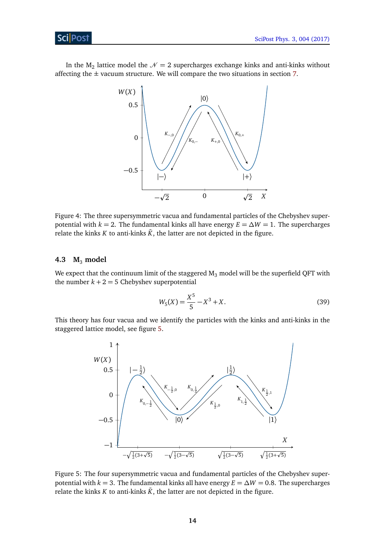# ScilPost

In the  $M_2$  lattice model the  $\mathcal{N}=2$  supercharges exchange kinks and anti-kinks without affecting the  $\pm$  vacuum structure. We will compare the two situations in section [7.](#page-24-0)



<span id="page-14-1"></span>Figure 4: The three supersymmetric vacua and fundamental particles of the Chebyshev superpotential with  $k = 2$ . The fundamental kinks all have energy  $E = \Delta W = 1$ . The supercharges relate the kinks *K* to anti-kinks  $\bar{K}$ , the latter are not depicted in the figure.

# <span id="page-14-0"></span>**4.3 M**<sup>3</sup> **model**

We expect that the continuum limit of the staggered  $M_3$  model will be the superfield QFT with the number  $k + 2 = 5$  Chebyshev superpotential

$$
W_5(X) = \frac{X^5}{5} - X^3 + X.
$$
\n(39)

This theory has four vacua and we identify the particles with the kinks and anti-kinks in the staggered lattice model, see figure [5.](#page-14-2)



<span id="page-14-2"></span>Figure 5: The four supersymmetric vacua and fundamental particles of the Chebyshev superpotential with  $k = 3$ . The fundamental kinks all have energy  $E = \Delta W = 0.8$ . The supercharges relate the kinks *K* to anti-kinks  $\bar{K}$ , the latter are not depicted in the figure.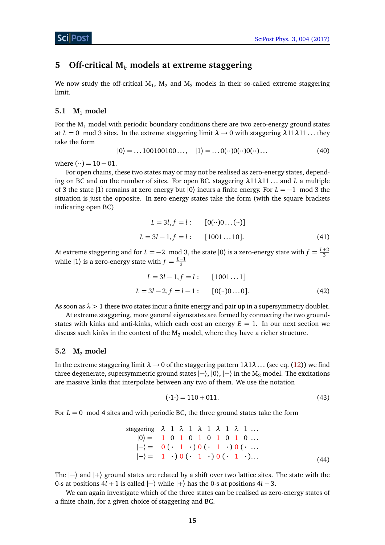# <span id="page-15-0"></span>**5 Off-critical M***<sup>k</sup>* **models at extreme staggering**

We now study the off-critical  $\text{M}_1$ ,  $\text{M}_2$  and  $\text{M}_3$  models in their so-called extreme staggering limit.

# <span id="page-15-1"></span>**5.1 M**<sup>1</sup> **model**

For the  $M_1$  model with periodic boundary conditions there are two zero-energy ground states at  $L = 0$  mod 3 sites. In the extreme staggering limit  $\lambda \rightarrow 0$  with staggering  $\lambda$ 11 $\lambda$ 11... they take the form

$$
|0\rangle = \dots 100100100\dots, \quad |1\rangle = \dots 0(\cdots)0(\cdots)0(\cdots)\dots \tag{40}
$$

where  $(\cdot \cdot) = 10 - 01$ .

For open chains, these two states may or may not be realised as zero-energy states, depending on BC and on the number of sites. For open BC, staggering *λ*11*λ*11 . . . and *L* a multiple of 3 the state |1〉 remains at zero energy but |0〉 incurs a finite energy. For *L* = −1 mod 3 the situation is just the opposite. In zero-energy states take the form (with the square brackets indicating open BC)

$$
L = 3l, f = l: [0(\cdots)0 \dots (\cdots)]
$$
  
\n
$$
L = 3l - 1, f = l: [1001 \dots 10].
$$
 (41)

At extreme staggering and for  $L = -2 \mod 3$ , the state  $|0\rangle$  is a zero-energy state with  $f = \frac{L+2}{3}$ while  $|1\rangle$  is a zero-energy state with  $f = \frac{L-1}{3}$ 3

$$
L = 3l - 1, f = l: [1001...1]
$$
  

$$
L = 3l - 2, f = l - 1: [0(\cdot \cdot)0...0].
$$
 (42)

As soon as  $\lambda > 1$  these two states incur a finite energy and pair up in a supersymmetry doublet.

At extreme staggering, more general eigenstates are formed by connecting the two groundstates with kinks and anti-kinks, which each cost an energy  $E = 1$ . In our next section we discuss such kinks in the context of the  $M_2$  model, where they have a richer structure.

#### <span id="page-15-2"></span>**5.2 M**<sup>2</sup> **model**

In the extreme staggering limit  $\lambda \rightarrow 0$  of the staggering pattern  $1\lambda 1\lambda \dots$  (see eq. [\(12\)](#page-7-1)) we find three degenerate, supersymmetric ground states  $|-\rangle$ ,  $|0\rangle$ ,  $|+\rangle$  in the M<sub>2</sub> model. The excitations are massive kinks that interpolate between any two of them. We use the notation

$$
(\cdot1 \cdot) = 110 + 011. \tag{43}
$$

For  $L = 0$  mod 4 sites and with periodic BC, the three ground states take the form

staggering 
$$
\lambda
$$
 1  $\lambda$  1  $\lambda$  1  $\lambda$  1  $\lambda$  1 ....  
\n $|0\rangle = 1 0 1 0 1 0 1 0 1 0 ....$   
\n $|-\rangle = 0(\cdot 1 \cdot)0(\cdot 1 \cdot)0(\cdot ...$   
\n $|+\rangle = 1 \cdot)0(\cdot 1 \cdot)0(\cdot 1 \cdot)...$  (44)

The  $\ket{\text{-}}$  and  $\ket{\text{+}}$  ground states are related by a shift over two lattice sites. The state with the 0-s at positions 4*l* + 1 is called |−〉 while |+〉 has the 0-s at positions 4*l* + 3.

We can again investigate which of the three states can be realised as zero-energy states of a finite chain, for a given choice of staggering and BC.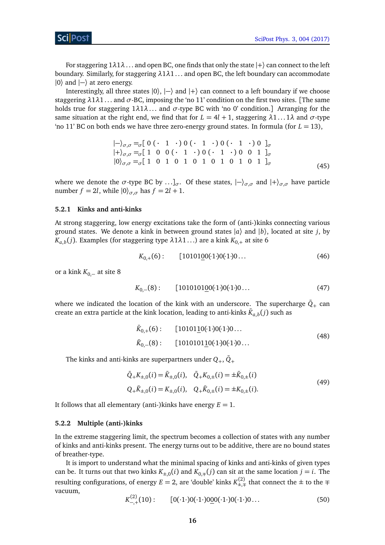For staggering  $1\lambda1\lambda$ ... and open BC, one finds that only the state  $|+\rangle$  can connect to the left boundary. Similarly, for staggering *λ*1*λ*1 . . . and open BC, the left boundary can accommodate  $|0\rangle$  and  $|-\rangle$  at zero energy.

Interestingly, all three states  $|0\rangle$ ,  $|-\rangle$  and  $|+\rangle$  can connect to a left boundary if we choose staggering *λ*1*λ*1 . . . and *σ*-BC, imposing the 'no 11' condition on the first two sites. [The same holds true for staggering 1*λ*1*λ*. . . and *σ*-type BC with 'no 0' condition.] Arranging for the same situation at the right end, we find that for  $L = 4l + 1$ , staggering  $\lambda_1 \dots 1 \lambda$  and  $\sigma$ -type 'no 11' BC on both ends we have three zero-energy ground states. In formula (for  $L = 13$ ),

<span id="page-16-2"></span>
$$
|-\rangle_{\sigma,\sigma} =_{\sigma} [ 0 ( \cdot 1 \cdot) 0 ( \cdot 1 \cdot) 0 ( \cdot 1 \cdot) 0 ]_{\sigma}
$$
  
\n
$$
|+\rangle_{\sigma,\sigma} =_{\sigma} [ 1 0 0 ( \cdot 1 \cdot) 0 ( \cdot 1 \cdot) 0 0 1 ]_{\sigma}
$$
  
\n
$$
|0\rangle_{\sigma,\sigma} =_{\sigma} [ 1 0 1 0 1 0 1 0 1 0 1 0 1 ]_{\sigma}
$$
 (45)

where we denote the  $\sigma$ -type BC by ...]<sub> $\sigma$ </sub>. Of these states,  $|-\rangle_{\sigma,\sigma}$  and  $|+\rangle_{\sigma,\sigma}$  have particle number  $f = 2l$ , while  $|0\rangle_{\sigma,\sigma}$  has  $f = 2l + 1$ .

## <span id="page-16-0"></span>**5.2.1 Kinks and anti-kinks**

At strong staggering, low energy excitations take the form of (anti-)kinks connecting various ground states. We denote a kink in between ground states |*a*〉 and |*b*〉, located at site *j*, by  $K_{a,b}(j).$  Examples (for staggering type  $λ1λ1\ldots$ ) are a kink  $K_{0,+}$  at site 6

$$
K_{0,+}(6): \qquad [10101\underline{0}0(1)0(1)0\ldots \qquad (46)
$$

or a kink *K*<sub>0,−</sub> at site 8

$$
K_{0,-}(8): \qquad [101010100(·1·)0(·1·)0… \qquad (47)
$$

where we indicated the location of the kink with an underscore. The supercharge  $\bar{Q}_+$  can create an extra particle at the kink location, leading to anti-kinks  $\bar{K}_{a,b}(j)$  such as

<span id="page-16-3"></span>
$$
\bar{K}_{0,+}(6): \qquad [10101\underline{1}0(·1·)0(·1·)0... \n\bar{K}_{0,-}(8): \qquad [1010101\underline{1}0(·1·)0(·1·)0... \qquad (48)
$$

The kinks and anti-kinks are superpartners under  $Q_+$ ,  $\bar{Q}_+$ 

$$
\begin{aligned}\n\bar{Q}_{+}K_{\pm,0}(i) &= \bar{K}_{\pm,0}(i), \quad \bar{Q}_{+}K_{0,\pm}(i) = \pm \bar{K}_{0,\pm}(i) \\
Q_{+}\bar{K}_{\pm,0}(i) &= K_{\pm,0}(i), \quad Q_{+}\bar{K}_{0,\pm}(i) = \pm K_{0,\pm}(i).\n\end{aligned} \tag{49}
$$

It follows that all elementary (anti-)kinks have energy  $E = 1$ .

#### <span id="page-16-1"></span>**5.2.2 Multiple (anti-)kinks**

In the extreme staggering limit, the spectrum becomes a collection of states with any number of kinks and anti-kinks present. The energy turns out to be additive, there are no bound states of breather-type.

It is import to understand what the minimal spacing of kinks and anti-kinks of given types can be. It turns out that two kinks  $K_{\pm,0}(i)$  and  $K_{0,\mp}(j)$  can sit at the same location  $j = i$ . The resulting configurations, of energy  $E = 2$ , are 'double' kinks  $K_{\pm,\mp}^{(2)}$  that connect the  $\pm$  to the  $\mp$ vacuum,  $\mathbb{R}^2$ 

$$
K_{-,+}^{(2)}(10): \qquad [0(\cdot 1\cdot)0(\cdot 1\cdot)00(0(\cdot 1\cdot)0(\cdot 1\cdot)0\ldots] \qquad (50)
$$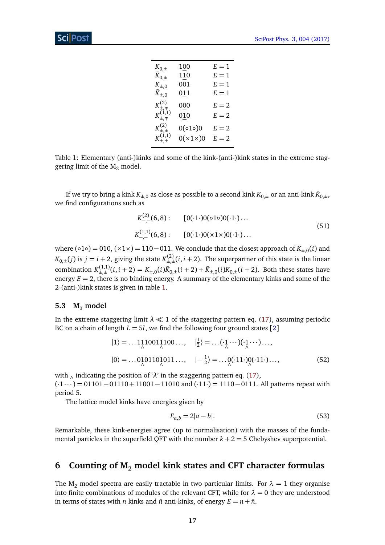| $K_{0,\pm}$                 | 100               | $E=1$ |
|-----------------------------|-------------------|-------|
| $K_{0,\pm}$                 | 110               | $E=1$ |
| $K_{\pm,0}$                 | $0\underline{0}1$ | $E=1$ |
| $K_{\pm,0}$                 | 011               | $E=1$ |
| $K_{\pm,\mp}^{(2)}$         | 000               | $E=2$ |
| $K_{\pm,\mp}^{(\vec{1},1)}$ | 010               | $E=2$ |
| $K_{\pm,\pm}^{(2)}$         | 0(010)0           | $E=2$ |
| $K_{\pm,\pm}^{(1,1)}$       | $0(x1\times)0$    | $E=2$ |

<span id="page-17-2"></span>Table 1: Elementary (anti-)kinks and some of the kink-(anti-)kink states in the extreme staggering limit of the  $M_2$  model.

If we try to bring a kink  $K_{\pm,0}$  as close as possible to a second kink  $K_{0,\pm}$  or an anti-kink  $\bar{K}_{0,\pm},$ we find configurations such as

$$
K_{-,-}^{(2)}(6,8): \t[0(\cdot1\cdot)0(\circ1\circ)0(\cdot1\cdot)...K_{-,-}^{(1,1)}(6,8): \t[0(\cdot1\cdot)0(\times1\times)0(\cdot1\cdot)... \t(51)
$$

where (∘1∘) = 010, (×1×) = 110–011. We conclude that the closest approach of  $K_{\pm,0}(i)$  and  $K_{0,\pm}(j)$  is  $j = i + 2$ , giving the state  $K_{\pm,\pm}^{(2)}(i,i+2)$ . The superpartner of this state is the linear combination  $K_{\pm,\pm}^{(1,1)}(i,i+2) = K_{\pm,0}(i)\bar{K}_{0,\pm}(i+2) + \bar{K}_{\pm,0}(i)K_{0,\pm}(i+2)$ . Both these states have energy  $E = 2$ , there is no binding energy. A summary of the elementary kinks and some of the 2-(anti-)kink states is given in table [1.](#page-17-2)

#### <span id="page-17-0"></span>**5.3 M**<sup>3</sup> **model**

In the extreme staggering limit  $\lambda \ll 1$  of the staggering pattern eq. [\(17\)](#page-8-3), assuming periodic BC on a chain of length  $L = 5l$ , we find the following four ground states [[2](#page-38-2)]

$$
|1\rangle = ... 1110011100... , |_{\frac{1}{2}}\rangle = ... ( \cdot 1 ... ) ( \cdot 1 ... ).
$$
  

$$
|0\rangle = ... 0101101011... , |_{\frac{1}{2}}\rangle = ... ( \cdot 11 \cdot ) ( \cdot 11 \cdot ) ... ,
$$
  
(52)

with ∧ indicating the position of '*λ*' in the staggering pattern eq. [\(17\)](#page-8-3),  $(·1 \cdots) = 01101 - 01110 + 11001 - 11010$  and  $(·11·) = 1110 - 0111$ . All patterns repeat with period 5.

The lattice model kinks have energies given by

$$
E_{a,b} = 2|a - b|.\t\t(53)
$$

Remarkable, these kink-energies agree (up to normalisation) with the masses of the fundamental particles in the superfield QFT with the number  $k + 2 = 5$  Chebyshev superpotential.

# <span id="page-17-1"></span>**6 Counting of M**<sup>2</sup> **model kink states and CFT character formulas**

The M<sub>2</sub> model spectra are easily tractable in two particular limits. For  $\lambda = 1$  they organise into finite combinations of modules of the relevant CFT, while for  $\lambda = 0$  they are understood in terms of states with *n* kinks and  $\bar{n}$  anti-kinks, of energy  $E = n + \bar{n}$ .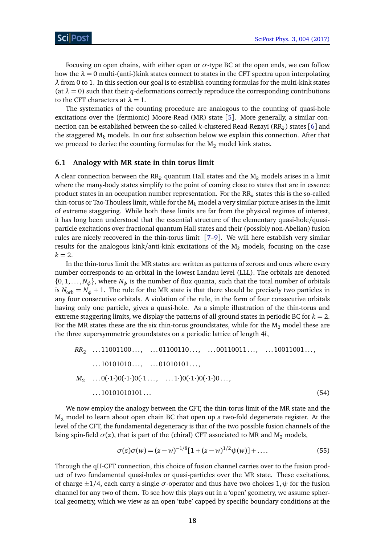Focusing on open chains, with either open or *σ*-type BC at the open ends, we can follow how the  $\lambda = 0$  multi-(anti-)kink states connect to states in the CFT spectra upon interpolating *λ* from 0 to 1. In this section our goal is to establish counting formulas for the multi-kink states (at  $\lambda = 0$ ) such that their *q*-deformations correctly reproduce the corresponding contributions to the CFT characters at  $\lambda = 1$ .

The systematics of the counting procedure are analogous to the counting of quasi-hole excitations over the (fermionic) Moore-Read (MR) state [[5](#page-38-5)]. More generally, a similar connection can be established between the so-called *k*-clustered Read-Rezayi (RR*<sup>k</sup>* ) states [[6](#page-38-6)] and the staggered M*<sup>k</sup>* models. In our first subsection below we explain this connection. After that we proceed to derive the counting formulas for the  $M_2$  model kink states.

## <span id="page-18-0"></span>**6.1 Analogy with MR state in thin torus limit**

A clear connection between the RR*<sup>k</sup>* quantum Hall states and the M*<sup>k</sup>* models arises in a limit where the many-body states simplify to the point of coming close to states that are in essence product states in an occupation number representation. For the  $\mathtt{RR}_k$  states this is the so-called thin-torus or Tao-Thouless limit, while for the M*<sup>k</sup>* model a very similar picture arises in the limit of extreme staggering. While both these limits are far from the physical regimes of interest, it has long been understood that the essential structure of the elementary quasi-hole/quasiparticle excitations over fractional quantum Hall states and their (possibly non-Abelian) fusion rules are nicely recovered in the thin-torus limit [[7](#page-38-7)[–9](#page-38-8)]. We will here establish very similar results for the analogous kink/anti-kink excitations of the M*<sup>k</sup>* models, focusing on the case  $k = 2$ .

In the thin-torus limit the MR states are written as patterns of zeroes and ones where every number corresponds to an orbital in the lowest Landau level (LLL). The orbitals are denoted  $\{0, 1, \ldots, N_{\phi}\}\$ , where  $N_{\phi}$  is the number of flux quanta, such that the total number of orbitals is  $N_{\text{orb}} = N_{\phi} + 1$ . The rule for the MR state is that there should be precisely two particles in any four consecutive orbitals. A violation of the rule, in the form of four consecutive orbitals having only one particle, gives a quasi-hole. As a simple illustration of the thin-torus and extreme staggering limits, we display the patterns of all ground states in periodic BC for  $k = 2$ . For the MR states these are the six thin-torus groundstates, while for the  $M_2$  model these are the three supersymmetric groundstates on a periodic lattice of length 4*l*,

$$
RR_2 \dots 11001100\dots, \dots 01100110\dots, \dots 00110011\dots, \dots 10011001\dots, \dots 10101010\dots, \dots 01010101\dots, \dots
$$
  
\n
$$
M_2 \dots 0(\cdot 1 \cdot)0(\cdot 1 \cdot)0(\cdot 1 \dots, \dots 1 \cdot)0(\cdot 1 \cdot)0(\cdot 1 \cdot)0\dots, \dots
$$
  
\n
$$
\dots 10101010101\dots \tag{54}
$$

We now employ the analogy between the CFT, the thin-torus limit of the MR state and the  $M<sub>2</sub>$  model to learn about open chain BC that open up a two-fold degenerate register. At the level of the CFT, the fundamental degeneracy is that of the two possible fusion channels of the Ising spin-field  $\sigma(z)$ , that is part of the (chiral) CFT associated to MR and M<sub>2</sub> models,

$$
\sigma(z)\sigma(w) = (z-w)^{-1/8}[1+(z-w)^{1/2}\psi(w)] + \dots
$$
\n(55)

Through the qH-CFT connection, this choice of fusion channel carries over to the fusion product of two fundamental quasi-holes or quasi-particles over the MR state. These excitations, of charge  $\pm 1/4$ , each carry a single  $\sigma$ -operator and thus have two choices 1,  $\psi$  for the fusion channel for any two of them. To see how this plays out in a 'open' geometry, we assume spherical geometry, which we view as an open 'tube' capped by specific boundary conditions at the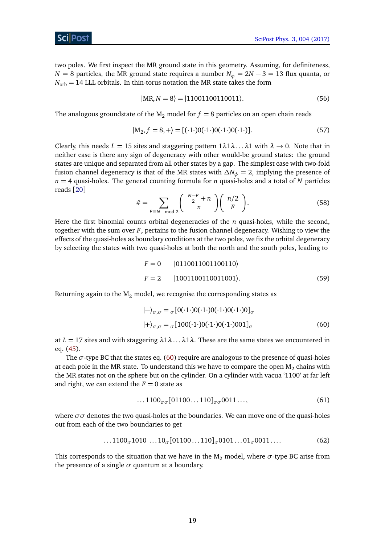

two poles. We first inspect the MR ground state in this geometry. Assuming, for definiteness, *N* = 8 particles, the MR ground state requires a number  $N_{\phi} = 2N - 3 = 13$  flux quanta, or  $N_{\text{orb}} = 14$  LLL orbitals. In thin-torus notation the MR state takes the form

$$
|MR, N = 8\rangle = |11001100110011\rangle.
$$
 (56)

The analogous groundstate of the  $M_2$  model for  $f = 8$  particles on an open chain reads

$$
|M_2, f = 8, +\rangle = [(\cdot 1 \cdot) 0 (\cdot 1 \cdot) 0 (\cdot 1 \cdot) 0 (\cdot 1 \cdot)]. \tag{57}
$$

Clearly, this needs  $L = 15$  sites and staggering pattern  $1\lambda 1\lambda \ldots \lambda 1$  with  $\lambda \to 0$ . Note that in neither case is there any sign of degeneracy with other would-be ground states: the ground states are unique and separated from all other states by a gap. The simplest case with two-fold fusion channel degeneracy is that of the MR states with *∆N<sup>φ</sup>* = 2, implying the presence of *n* = 4 quasi-holes. The general counting formula for *n* quasi-holes and a total of *N* particles reads [[20](#page-39-9)]

$$
\# = \sum_{F \equiv N \mod 2} \left( \begin{array}{c} \frac{N-F}{2} + n \\ n \end{array} \right) \left( \begin{array}{c} n/2 \\ F \end{array} \right).
$$
 (58)

<span id="page-19-1"></span>Here the first binomial counts orbital degeneracies of the *n* quasi-holes, while the second, together with the sum over *F*, pertains to the fusion channel degeneracy. Wishing to view the effects of the quasi-holes as boundary conditions at the two poles, we fix the orbital degeneracy by selecting the states with two quasi-holes at both the north and the south poles, leading to

$$
F = 0 \t |0110011001100110\rangle
$$
  

$$
F = 2 \t |1001100110011001\rangle.
$$
 (59)

Returning again to the  $M_2$  model, we recognise the corresponding states as

<span id="page-19-0"></span>
$$
|-\rangle_{\sigma,\sigma} = {}_{\sigma}[0(.1\cdot)0(.1\cdot)0(.1\cdot)0(.1\cdot)0]_{\sigma}
$$

$$
|+\rangle_{\sigma,\sigma} = {}_{\sigma}[100(.1\cdot)0(.1\cdot)0(.1\cdot)001]_{\sigma}
$$
(60)

at  $L = 17$  sites and with staggering  $\lambda 1\lambda \ldots \lambda 1\lambda$ . These are the same states we encountered in eq. [\(45\)](#page-16-2).

The  $\sigma$ -type BC that the states eq. [\(60\)](#page-19-0) require are analogous to the presence of quasi-holes at each pole in the MR state. To understand this we have to compare the open  $\texttt{M}_{2}$  chains with the MR states not on the sphere but on the cylinder. On a cylinder with vacua '1100' at far left and right, we can extend the  $F = 0$  state as

$$
\dots 1100_{\sigma\sigma}[01100 \dots 110]_{\sigma\sigma} 0011 \dots, \tag{61}
$$

where  $\sigma\sigma$  denotes the two quasi-holes at the boundaries. We can move one of the quasi-holes out from each of the two boundaries to get

$$
\dots 1100_{\sigma} 1010 \dots 10_{\sigma} [01100 \dots 110]_{\sigma} 0101 \dots 01_{\sigma} 0011 \dots \tag{62}
$$

This corresponds to the situation that we have in the  $M_2$  model, where  $\sigma$ -type BC arise from the presence of a single  $\sigma$  quantum at a boundary.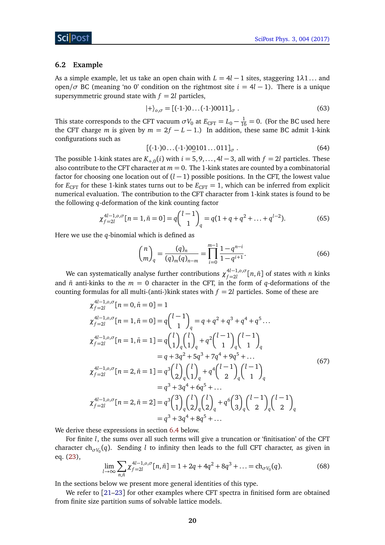#### <span id="page-20-0"></span>**6.2 Example**

As a simple example, let us take an open chain with  $L = 4l - 1$  sites, staggering  $1\lambda1...$  and open/ $\sigma$  BC (meaning 'no 0' condition on the rightmost site  $i = 4l - 1$ ). There is a unique supersymmetric ground state with  $f = 2l$  particles,

$$
|+\rangle_{o,\sigma} = [(\cdot 1 \cdot)0 \dots (\cdot 1 \cdot)0011]_{\sigma} . \tag{63}
$$

This state corresponds to the CFT vacuum  $\sigma V_0$  at  $E_{\text{CFT}} = L_0 - \frac{1}{16} = 0$ . (For the BC used here the CFT charge *m* is given by  $m = 2f - L - 1$ .) In addition, these same BC admit 1-kink configurations such as

$$
\left[ (\cdot 1)0 \dots (\cdot 1)00101 \dots 011 \right]_{\sigma} . \tag{64}
$$

The possible 1-kink states are  $K_{+,0}(i)$  with  $i = 5, 9, \ldots, 4l - 3$ , all with  $f = 2l$  particles. These also contribute to the CFT character at  $m = 0$ . The 1-kink states are counted by a combinatorial factor for choosing one location out of (*l* − 1) possible positions. In the CFT, the lowest value for  $E_{\text{CFT}}$  for these 1-kink states turns out to be  $E_{\text{CFT}} = 1$ , which can be inferred from explicit numerical evaluation. The contribution to the CFT character from 1-kink states is found to be the following *q*-deformation of the kink counting factor

$$
\chi_{f=2l}^{4l-1,0,\sigma}[n=1,\bar{n}=0]=q\binom{l-1}{1}_q=q(1+q+q^2+\ldots+q^{l-2}).\tag{65}
$$

Here we use the *q*-binomial which is defined as

$$
\binom{n}{m}_q = \frac{(q)_n}{(q)_m (q)_{n-m}} = \prod_{i=0}^{m-1} \frac{1 - q^{n-i}}{1 - q^{i+1}}.
$$
\n(66)

We can systematically analyse further contributions *χ* 4*l*−1,*o*,*σ*  $f_{f=2l}^{4l-1,0,0}$  [ $n,\bar{n}$ ] of states with  $n$  kinks and  $\bar{n}$  anti-kinks to the  $m = 0$  character in the CFT, in the form of *q*-deformations of the counting formulas for all multi-(anti-)kink states with  $f = 2l$  particles. Some of these are

$$
\chi_{f=2l}^{4l-1,0,\sigma}[n=0,\bar{n}=0]=1
$$
\n
$$
\chi_{f=2l}^{4l-1,0,\sigma}[n=1,\bar{n}=0]=q\binom{l-1}{1}_q=q+q^2+q^3+q^4+q^5...
$$
\n
$$
\chi_{f=2l}^{4l-1,0,\sigma}[n=1,\bar{n}=1]=q\binom{l}{1}_q\binom{l}{1}_q+q^2\binom{l-1}{1}_q\binom{l-1}{1}_q
$$
\n
$$
=q+3q^2+5q^3+7q^4+9q^5+...
$$
\n
$$
\chi_{f=2l}^{4l-1,0,\sigma}[n=2,\bar{n}=1]=q^3\binom{l}{2}_q\binom{l}{1}_q+q^4\binom{l-1}{2}_q\binom{l-1}{1}_q
$$
\n
$$
=q^3+3q^4+6q^5+...
$$
\n
$$
\chi_{f=2l}^{4l-1,0,\sigma}[n=2,\bar{n}=2]=q^3\binom{3}{1}_q\binom{l}{2}_q\binom{l}{2}_q+q^6\binom{3}{3}_q\binom{l-1}{2}_q\binom{l-1}{2}_q
$$
\n
$$
=q^3+3q^4+8q^5+...
$$
\n(67)

We derive these expressions in section [6.4](#page-22-0) below.

For finite *l*, the sums over all such terms will give a truncation or 'finitisation' of the CFT character  $\mathrm{ch}_{\sigma V_0}(q).$  Sending  $l$  to infinity then leads to the full CFT character, as given in eq. [\(23\)](#page-9-1),

$$
\lim_{l \to \infty} \sum_{n,\bar{n}} \chi_{f=2l}^{4l-1,0,\sigma}[n,\bar{n}] = 1 + 2q + 4q^2 + 8q^3 + \dots = \text{ch}_{\sigma V_0}(q). \tag{68}
$$

In the sections below we present more general identities of this type.

We refer to [[21](#page-39-10)-23] for other examples where CFT spectra in finitised form are obtained from finite size partition sums of solvable lattice models.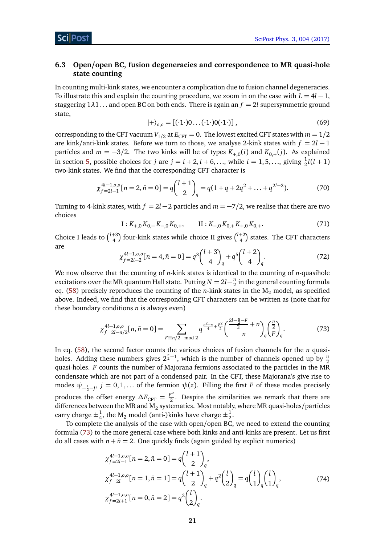# <span id="page-21-0"></span>**6.3 Open/open BC, fusion degeneracies and correspondence to MR quasi-hole state counting**

In counting multi-kink states, we encounter a complication due to fusion channel degeneracies. To illustrate this and explain the counting procedure, we zoom in on the case with  $L = 4l - 1$ , staggering  $1\lambda1$ ... and open BC on both ends. There is again an  $f = 2l$  supersymmetric ground state,

$$
|+\rangle_{0,0} = [(\cdot 1 \cdot) 0 \dots (\cdot 1 \cdot) 0 (\cdot 1 \cdot)], \qquad (69)
$$

corresponding to the CFT vacuum  $V_{1/2}$  at  $E_{\text{CFT}} = 0$ . The lowest excited CFT states with  $m = 1/2$ are kink/anti-kink states. Before we turn to those, we analyse 2-kink states with  $f = 2l - 1$ particles and  $m = -3/2$ . The two kinks will be of types  $K_{+0}(i)$  and  $K_{0+}(j)$ . As explained in section [5,](#page-15-0) possible choices for *j* are  $j = i + 2, i + 6, \ldots$ , while  $i = 1, 5, \ldots$ , giving  $\frac{1}{2}l(l + 1)$ two-kink states. We find that the corresponding CFT character is

$$
\chi_{f=2l-1}^{4l-1,0,0}[n=2,\bar{n}=0]=q\binom{l+1}{2}_q=q(1+q+2q^2+\ldots+q^{2l-2}).\tag{70}
$$

Turning to 4-kink states, with  $f = 2l - 2$  particles and  $m = -7/2$ , we realise that there are two choices

$$
I: K_{+,0} K_{0,-} K_{-,0} K_{0,+}, \qquad II: K_{+,0} K_{0,+} K_{+,0} K_{0,+}.
$$
 (71)

Choice I leads to  $\binom{l+3}{4}$  four-kink states while choice II gives  $\binom{l+2}{4}$  states. The CFT characters are

<span id="page-21-1"></span>
$$
\chi_{f=2l-2}^{4l-1,0,0}[n=4,\bar{n}=0]=q^3\binom{l+3}{4}_q+q^5\binom{l+2}{4}_q.
$$
\n(72)

We now observe that the counting of *n*-kink states is identical to the counting of *n*-quasihole excitations over the MR quantum Hall state. Putting  $N = 2l - \frac{n}{2}$  $\frac{n}{2}$  in the general counting formula eq. [\(58\)](#page-19-1) precisely reproduces the counting of the *n*-kink states in the M<sub>2</sub> model, as specified above. Indeed, we find that the corresponding CFT characters can be written as (note that for these boundary conditions *n* is always even)

$$
\chi_{f=2l-n/2}^{4l-1,0,0}[n,\bar{n}=0]=\sum_{F\equiv n/2\mod 2}q^{\frac{n^2-n}{4}+\frac{F^2}{2}}\binom{\frac{2l-\frac{n}{2}-F}{2}+n}{n}_{q}\binom{\frac{n}{2}}{F}_{q}.
$$
 (73)

In eq. [\(58\)](#page-19-1), the second factor counts the various choices of fusion channels for the *n* quasiholes. Adding these numbers gives  $2^{\frac{n}{2}-1}$ , which is the number of channels opened up by  $\frac{n}{2}$ quasi-holes. *F* counts the number of Majorana fermions associated to the particles in the MR condensate which are not part of a condensed pair. In the CFT, these Majorana's give rise to modes  $\psi_{-\frac{1}{2}-j}$ ,  $j=0,1,...$  of the fermion  $\psi(z)$ . Filling the first *F* of these modes precisely produces the offset energy  $\Delta E_{\text{CFT}} = \frac{F^2}{2}$  $\frac{1}{2}$ . Despite the similarities we remark that there are differences between the MR and M<sub>2</sub> systematics. Most notably, where MR quasi-holes/particles carry charge  $\pm \frac{1}{4}$  $\frac{1}{4}$ , the M<sub>2</sub> model (anti-)kinks have charge  $\pm \frac{1}{2}$  $rac{1}{2}$ .

To complete the analysis of the case with open/open BC, we need to extend the counting formula [\(73\)](#page-21-1) to the more general case where both kinks and anti-kinks are present. Let us first do all cases with  $n + \bar{n} = 2$ . One quickly finds (again guided by explicit numerics)

$$
\chi_{f=2l-1}^{4l-1,0,0}[n=2,\bar{n}=0] = q \binom{l+1}{2}_q,
$$
\n
$$
\chi_{f=2l}^{4l-1,0,0}[n=1,\bar{n}=1] = q \binom{l+1}{2}_q + q^2 \binom{l}{2}_q = q \binom{l}{1}_q \binom{l}{1}_q,
$$
\n
$$
\chi_{f=2l+1}^{4l-1,0,0}[n=0,\bar{n}=2] = q^2 \binom{l}{2}_q.
$$
\n(74)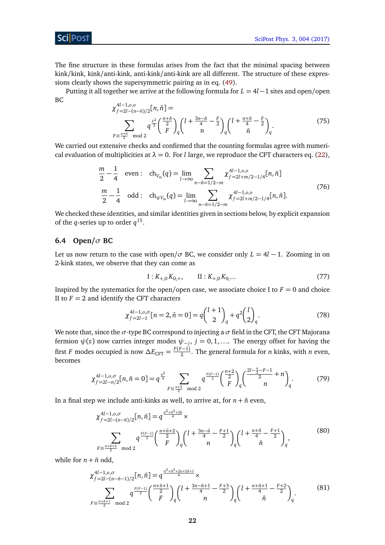# ScilPost

The fine structure in these formulas arises from the fact that the minimal spacing between kink/kink, kink/anti-kink, anti-kink/anti-kink are all different. The structure of these expressions clearly shows the supersymmetric pairing as in eq. [\(49\)](#page-16-3).

Putting it all together we arrive at the following formula for *L* = 4*l*−1 sites and open/open BC 4*l*−1,*o*,*o*

$$
\chi_{f=2l-(n-\bar{n})/2}^{4l-1,0,0}[n,\bar{n}] =
$$
\n
$$
\sum_{F=\frac{n+\bar{n}}{2} \mod 2} q^{\frac{F^2}{2}} {\binom{\frac{n+\bar{n}}{2}}{F}}_q {\binom{l+\frac{3n-\bar{n}}{4}-\frac{F}{2}}{n}}_q {\binom{l+\frac{n+\bar{n}}{4}-\frac{F}{2}}{\bar{n}}}_q.
$$
\n(75)

We carried out extensive checks and confirmed that the counting formulas agree with numerical evaluation of multiplicities at  $\lambda = 0$ . For *l* large, we reproduce the CFT characters eq. [\(22\)](#page-9-2),

$$
\frac{m}{2} - \frac{1}{4} \quad \text{even:} \quad \text{ch}_{V_m}(q) = \lim_{l \to \infty} \sum_{n - \bar{n} = 1/2 - m} \chi_{f = 2l + m/2 - 1/4}^{4l - 1, o, o}[n, \bar{n}]
$$
\n
$$
\frac{m}{2} - \frac{1}{4} \quad \text{odd:} \quad \text{ch}_{\psi V_m}(q) = \lim_{l \to \infty} \sum_{n - \bar{n} = 1/2 - m} \chi_{f = 2l + m/2 - 1/4}^{4l - 1, o, o}[n, \bar{n}].
$$
\n(76)

We checked these identities, and similar identities given in sections below, by explicit expansion of the *q*-series up to order  $q^{15}$ .

# <span id="page-22-0"></span>**6.4 Open/***σ* **BC**

Let us now return to the case with open/ $\sigma$  BC, we consider only  $L = 4l - 1$ . Zooming in on 2-kink states, we observe that they can come as

$$
I: K_{+,0} K_{0,+}, \qquad II: K_{+,0} K_{0,-}.
$$
 (77)

Inspired by the systematics for the open/open case, we associate choice I to  $F = 0$  and choice II to  $F = 2$  and identify the CFT characters

$$
\chi_{f=2l-1}^{4l-1,0,\sigma}[n=2,\bar{n}=0]=q\binom{l+1}{2}_q+q^2\binom{l}{2}_q.
$$
\n(78)

We note that, since the  $\sigma$ -type BC correspond to injecting a  $\sigma$  field in the CFT, the CFT Majorana fermion  $\psi(z)$  now carries integer modes  $\psi_{-j},\,j=0,1,\ldots$  . The energy offset for having the first *F* modes occupied is now  $\Delta E_{\text{CFT}} = \frac{F(F-1)}{2}$ . The general formula for *n* kinks, with *n* even, becomes

$$
\chi_{f=2l-n/2}^{4l-1,0,\sigma}[n,\bar{n}=0]=q^{\frac{n^2}{4}}\sum_{F\equiv\frac{n+2}{2}\mod 2}q^{\frac{F(F-1)}{2}}\binom{\frac{n+2}{2}}{F}_q\binom{\frac{2l-\frac{n}{2}-F-1}{2}}{n}.
$$
 (79)

In a final step we include anti-kinks as well, to arrive at, for  $n + \bar{n}$  even,

$$
\chi_{f=2l-(n-\bar{n})/2}^{4l-1,0,\sigma}[n,\bar{n}] = q^{\frac{n^2+\bar{n}^2+2\bar{n}}{4}} \times \sum_{F \equiv \frac{n+\bar{n}+2}{2} \text{ mod } 2} q^{\frac{F(F-1)}{2}} {q^{\frac{n+\bar{n}+2}{2}}} {q^{(\frac{n+\bar{n}+2}{2})} {q^{(\frac{n+\bar{n}+2}{4}-\frac{F+1}{2})} {q^{(\frac{n+\bar{n}+2}{4}-\frac{F+1}{2})} {q^{(\frac{n+\bar{n}+2}{4}-\frac{F+1}{2})} {q^{(\frac{n+\bar{n}+2}{4}-\frac{F+1}{2})} {q^{(\frac{n+\bar{n}+2}{4}-\frac{F+1}{2})} {q^{(\frac{n+\bar{n}+2}{4}-\frac{F+1}{2})} {q^{(\frac{n+\bar{n}+2}{4}-\frac{F+1}{2})} {q^{(\frac{n+\bar{n}+2}{4}-\frac{F+1}{2})} {q^{(\frac{n+\bar{n}+2}{4}-\frac{F+1}{2})} {q^{(\frac{n+\bar{n}+2}{4}-\frac{F+1}{2})} {q^{(\frac{n+\bar{n}+2}{4}-\frac{F+1}{2})} {q^{(\frac{n+\bar{n}+2}{4}-\frac{F+1}{2})} {q^{(\frac{n+\bar{n}+2}{4}-\frac{F+1}{2})} {q^{(\frac{n+\bar{n}+2}{4}-\frac{F+1}{2})} {q^{(\frac{n+\bar{n}+2}{4}-\frac{F+1}{2})} {q^{(\frac{n+\bar{n}+2}{4}-\frac{F+1}{2})} {q^{(\frac{n+\bar{n}+2}{4}-\frac{F+1}{2})} {q^{(\frac{n+\bar{n}+2}{4}-\frac{F+1}{2})} {q^{(\frac{n+\bar{n}+2}{4}-\frac{F+1}{2})} {q^{(\frac{n+\bar{n}+2}{4}-\frac{F+1}{2})} {q^{(\frac{n+\bar{n}+2}{4}-\frac{F+1}{2})} {q^{(\frac{n+\bar{n}+2}{4}-\frac{F+1}{2})} {q^{(\frac{n+\bar{n}+2}{4}-\frac{F+1}{2})} {q^{(\frac{n+\bar{n}+2}{4}-\frac{F+1}{2})} {q^{(\frac{n+\bar{n}+2}{4}-\frac{F+1}{2})} {q^{(\frac{n+\bar{n
$$

while for  $n + \bar{n}$  odd,

$$
\chi_{f=2l-(n-\bar{n}-1)/2}^{4l-1,0,\sigma}[n,\bar{n}] = q^{\frac{n^2+\bar{n}^2+2n+2\bar{n}+1}{4}} \times \sum_{F \equiv \frac{n+\bar{n}+1}{2}} q^{\frac{F(F-1)}{2}} {F \choose F}_q {l + \frac{3n-\bar{n}+1}{4} - \frac{F+3}{2} \choose n}_q {l + \frac{n+\bar{n}+1}{4} - \frac{F+2}{2} \choose \bar{n}}_q.
$$
 (81)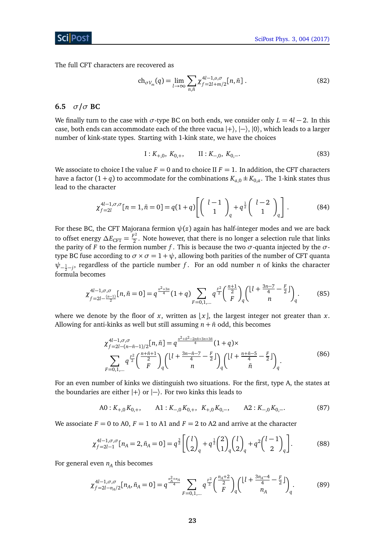The full CFT characters are recovered as

$$
\text{ch}_{\sigma V_m}(q) = \lim_{l \to \infty} \sum_{n,\bar{n}} \chi_{f=2l+m/2}^{4l-1,0,\sigma}[n,\bar{n}]. \tag{82}
$$

# <span id="page-23-0"></span>**6.5** *σ***/***σ* **BC**

We finally turn to the case with  $\sigma$ -type BC on both ends, we consider only  $L = 4l - 2$ . In this case, both ends can accommodate each of the three vacua  $|+\rangle$ ,  $|-\rangle$ ,  $|0\rangle$ , which leads to a larger number of kink-state types. Starting with 1-kink state, we have the choices

$$
I: K_{+,0}, K_{0,+}, \qquad II: K_{-,0}, K_{0,-}.
$$
 (83)

We associate to choice I the value  $F = 0$  and to choice II  $F = 1$ . In addition, the CFT characters have a factor  $(1+q)$  to accommodate for the combinations  $K_{a,0} \pm K_{0,a}$ . The 1-kink states thus lead to the character

$$
\chi_{f=2l}^{4l-1,\sigma,\sigma}[n=1,\bar{n}=0] = q(1+q) \left[ \begin{pmatrix} l-1 \\ 1 \end{pmatrix}_q + q^{\frac{1}{2}} \begin{pmatrix} l-2 \\ 1 \end{pmatrix}_q \right].
$$
 (84)

For these BC, the CFT Majorana fermion *ψ*(*z*) again has half-integer modes and we are back to offset energy  $\Delta E_{\text{CFT}} = \frac{F^2}{2}$  $\frac{1}{2}$ . Note however, that there is no longer a selection rule that links the parity of *F* to the fermion number *f*. This is because the two  $\sigma$ -quanta injected by the  $\sigma$ type BC fuse according to  $\sigma \times \sigma = 1 + \psi$ , allowing both parities of the number of CFT quanta  $ψ$ <sub>− $\frac{1}{2}$ −*j*</sub>, regardless of the particle number *f* . For an odd number *n* of kinks the character formula becomes

$$
\chi_{f=2l-\frac{(n-1)}{2}}^{4l-1,\sigma,\sigma}[n,\bar{n}=0]=q^{\frac{n^2+3n}{4}}(1+q)\sum_{F=0,1,\dots}q^{\frac{r^2}{2}}\binom{\frac{n+1}{2}}{F}_q\binom{\left\lfloor l+\frac{3n-7}{4}-\frac{F}{2}\right\rfloor}{n}.
$$
(85)

where we denote by the floor of *x*, written as  $\lfloor x \rfloor$ , the largest integer not greater than *x*. Allowing for anti-kinks as well but still assuming  $n + \bar{n}$  odd, this becomes

$$
\chi_{f=2l-(n-\bar{n}-1)/2}^{4l-1,\sigma,\sigma}[n,\bar{n}] = q^{\frac{n^2+\bar{n}^2-2n\bar{n}+3n+3\bar{n}}{4}}(1+q) \times \sum_{F=0,1,\dots} q^{\frac{F^2}{2}} {\binom{\frac{n+\bar{n}+1}{2}}{F}}_q {\binom{\lfloor l+\frac{3n-\bar{n}-7}{4}-\frac{F}{2}\rfloor}{n}}_q {\binom{\lfloor l+\frac{n+\bar{n}-5}{4}-\frac{F}{2}\rfloor}{\bar{n}}}_q.
$$
\n(86)

For an even number of kinks we distinguish two situations. For the first, type A, the states at the boundaries are either  $|+\rangle$  or  $|-\rangle$ . For two kinks this leads to

$$
A0: K_{+,0} K_{0,+}, \qquad A1: K_{-,0} K_{0,+}, \quad K_{+,0} K_{0,-}, \qquad A2: K_{-,0} K_{0,-}.
$$
 (87)

We associate  $F = 0$  to A0,  $F = 1$  to A1 and  $F = 2$  to A2 and arrive at the character

$$
\chi_{f=2l-1}^{4l-1,\sigma,\sigma}[n_A=2,\bar{n}_A=0]=q^{\frac{3}{2}}\left[\binom{l}{2}_q+q^{\frac{1}{2}}\binom{2}{1}_q\binom{l}{2}_q+q^2\binom{l-1}{2}_q\right].\tag{88}
$$

For general even  $n_A$  this becomes

$$
\chi_{f=2l-n_A/2}^{4l-1,\sigma,\sigma}[n_A,\bar{n}_A=0]=q^{\frac{n_A^2+n_A}{4}}\sum_{F=0,1,\dots}q^{\frac{F^2}{2}}\binom{\frac{n_A+2}{2}}{F}_q\binom{\lfloor l+\frac{3n_A-4}{4}-\frac{F}{2}\rfloor}{n_A}.
$$
 (89)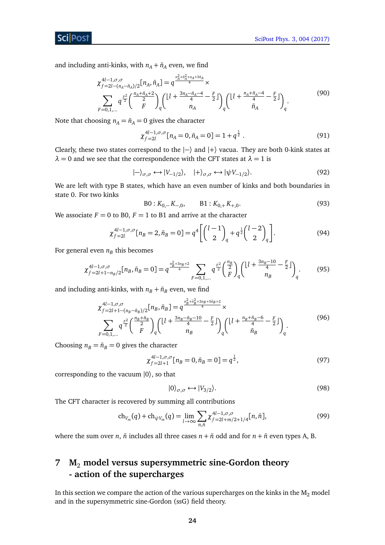**ScilPost** 

and including anti-kinks, with  $n_A + \bar{n}_A$  even, we find

$$
\chi_{f=2l-(n_A-\bar{n}_A)/2}^{4l-1,\sigma,\sigma}[n_A,\bar{n}_A] = q^{\frac{n_A^2+\bar{n}_A^2+n_A+3\bar{n}_A}{4}} \times \sum_{F=0,1,...} q^{\frac{r^2}{2}} {\binom{\frac{n_A+\bar{n}_A+2}{2}}{F}}_q {\binom{\left\lfloor l+\frac{3n_A-\bar{n}_A-4}{4}-\frac{F}{2}\right\rfloor}{n_A}}_q {\binom{\left\lfloor l+\frac{n_A+\bar{n}_A-4}{4}-\frac{F}{2}\right\rfloor}{\bar{n}_A}}_q.
$$
\n(90)

Note that choosing  $n_A = \bar{n}_A = 0$  gives the character

$$
\chi_{f=2l}^{4l-1,\sigma,\sigma}[n_A=0,\bar{n}_A=0]=1+q^{\frac{1}{2}}.
$$
\n(91)

Clearly, these two states correspond to the  $|-\rangle$  and  $|+\rangle$  vacua. They are both 0-kink states at  $\lambda = 0$  and we see that the correspondence with the CFT states at  $\lambda = 1$  is

$$
|-\rangle_{\sigma,\sigma} \leftrightarrow |V_{-1/2}\rangle, \quad |+\rangle_{\sigma,\sigma} \leftrightarrow |\psi V_{-1/2}\rangle. \tag{92}
$$

We are left with type B states, which have an even number of kinks and both boundaries in state 0. For two kinks

$$
B0: K_{0,-}K_{-0}, \qquad B1: K_{0,+}K_{+,0}.
$$
 (93)

We associate  $F = 0$  to B0,  $F = 1$  to B1 and arrive at the character

$$
\chi_{f=2l}^{4l-1,\sigma,\sigma}[n_B=2,\bar{n}_B=0]=q^4\left[\binom{l-1}{2}_q+q^{\frac{1}{2}}\binom{l-2}{2}_q\right].
$$
\n(94)

For general even  $n_B$  this becomes

$$
\chi_{f=2l+1-n_B/2}^{4l-1,\sigma,\sigma}[n_B,\bar{n}_B=0]=q^{\frac{n_B^2+3n_B+2}{4}}\sum_{F=0,1,\dots}q^{\frac{F^2}{2}}\binom{\frac{n_B}{2}}{F}_q\binom{\left[l+\frac{3n_B-10}{4}-\frac{F}{2}\right]}{n_B}.
$$
 (95)

and including anti-kinks, with  $n_B + \bar{n}_B$  even, we find

$$
\chi_{f=2l+1-(n_B-\bar{n}_B)/2}^{4l-1,\sigma,\sigma}[\mathbf{n}_B,\bar{\mathbf{n}}_B] = q^{\frac{n_B^2+\bar{n}_B^2+3n_B+5\bar{n}_B+2}{4}} \times \sum_{F=0,1,\dots} q^{\frac{F^2}{2}} {\begin{pmatrix} \frac{n_B+\bar{n}_B}{2} \\ F \end{pmatrix}}_q {\begin{pmatrix} \lfloor l + \frac{3n_B-\bar{n}_B-10}{4} - \frac{F}{2} \rfloor \\ n_B \end{pmatrix}}_q {\begin{pmatrix} \lfloor l + \frac{n_B+\bar{n}_B-6}{4} - \frac{F}{2} \rfloor \\ \bar{n}_B \end{pmatrix}}_q.
$$
\n(96)

Choosing  $n_B = \bar{n}_B = 0$  gives the character

$$
\chi_{f=2l+1}^{4l-1,\sigma,\sigma}[n_B=0,\bar{n}_B=0]=q^{\frac{1}{2}},\tag{97}
$$

corresponding to the vacuum  $|0\rangle$ , so that

$$
|0\rangle_{\sigma,\sigma} \leftrightarrow |V_{3/2}\rangle. \tag{98}
$$

The CFT character is recovered by summing all contributions

$$
\operatorname{ch}_{V_m}(q) + \operatorname{ch}_{\psi V_m}(q) = \lim_{l \to \infty} \sum_{n,\bar{n}} \chi_{f=2l+m/2+1/4}^{4l-1,\sigma,\sigma}[n,\bar{n}],\tag{99}
$$

where the sum over *n*,  $\bar{n}$  includes all three cases  $n + \bar{n}$  odd and for  $n + \bar{n}$  even types A, B.

# <span id="page-24-0"></span>**7 M**<sup>2</sup> **model versus supersymmetric sine-Gordon theory - action of the supercharges**

In this section we compare the action of the various supercharges on the kinks in the  $M_2$  model and in the supersymmetric sine-Gordon (ssG) field theory.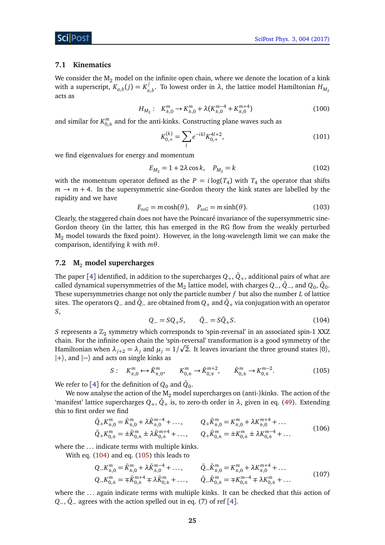#### <span id="page-25-0"></span>**7.1 Kinematics**

We consider the  $M_2$  model on the infinite open chain, where we denote the location of a kink with a superscript,  $K_{a,b}(j) = K_a^j$  $\sigma_{a,b}^{\prime}$ . To lowest order in *λ*, the lattice model Hamiltonian  $H_{M_2}$ acts as

$$
H_{M_2}: K_{\pm,0}^m \to K_{\pm,0}^m + \lambda (K_{\pm,0}^{m-4} + K_{\pm,0}^{m+4})
$$
\n(100)

and similar for  $K_{0,\pm}^m$  and for the anti-kinks. Constructing plane waves such as

<span id="page-25-6"></span>
$$
K_{0,+}^{(k)} = \sum_{l} e^{-ikl} K_{0,+}^{4l+2},\tag{101}
$$

we find eigenvalues for energy and momentum

$$
E_{M_2} = 1 + 2\lambda \cos k, \quad P_{M_2} = k \tag{102}
$$

with the momentum operator defined as the  $P = i \log(T_4)$  with  $T_4$  the operator that shifts  $m \rightarrow m + 4$ . In the supersymmetric sine-Gordon theory the kink states are labelled by the rapidity and we have

$$
E_{ssG} = m \cosh(\theta), \quad P_{ssG} = m \sinh(\theta). \tag{103}
$$

Clearly, the staggered chain does not have the Poincaré invariance of the supersymmetric sine-Gordon theory (in the latter, this has emerged in the RG flow from the weakly perturbed  $M_2$  model towards the fixed point). However, in the long-wavelength limit we can make the comparison, identifying *k* with *mθ*.

#### <span id="page-25-1"></span>**7.2 M**<sup>2</sup> **model supercharges**

The paper [[4](#page-38-4)] identified, in addition to the supercharges  $Q_+$ ,  $\bar{Q}_+$ , additional pairs of what are called dynamical supersymmetries of the  $\rm M_2$  lattice model, with charges  $\rm Q_-,\bar Q_-$ , and  $\rm Q_0,\bar Q_0.$ These supersymmetries change not only the particle number *f* but also the number *L* of lattice sites. The operators  $Q_-$  and  $\bar{Q}_-$  are obtained from  $Q_+$  and  $\bar{Q}_+$  via conjugation with an operator *S*,

<span id="page-25-3"></span>
$$
Q_{-} = SQ_{+}S, \qquad \bar{Q}_{-} = S\bar{Q}_{+}S. \tag{104}
$$

<span id="page-25-2"></span>*S* represents a  $\mathbb{Z}_2$  symmetry which corresponds to 'spin-reversal' in an associated spin-1 XXZ chain. For the infinite open chain the 'spin-reversal' transformation is a good symmetry of the p Hamiltonian when  $\lambda_{j+2} = \lambda_j$  and  $\mu_j = 1/\sqrt{2}$ . It leaves invariant the three ground states  $|0\rangle$ ,  $|+\rangle$ , and  $|-\rangle$  and acts on single kinks as

$$
S: K_{\pm,0}^m \longleftrightarrow \bar{K}_{\pm,0}^m, \qquad K_{0,\pm}^m \longrightarrow \bar{K}_{0,\mp}^{m+2}, \qquad \bar{K}_{0,\pm}^m \longrightarrow K_{0,\mp}^{m-2}.
$$
 (105)

We refer to [[4](#page-38-4)] for the definition of  $Q_0$  and  $\bar{Q}_0$ .

We now analyse the action of the  $M_2$  model supercharges on (anti-)kinks. The action of the 'manifest' lattice supercharges  $Q_+, \bar{Q}_+$  is, to zero-th order in  $\lambda$ , given in eq. [\(49\)](#page-16-3). Extending this to first order we find

<span id="page-25-4"></span>
$$
\bar{Q}_{+}K_{\pm,0}^{m} = \bar{K}_{\pm,0}^{m} + \lambda \bar{K}_{\pm,0}^{m-4} + \dots, \qquad Q_{+}\bar{K}_{\pm,0}^{m} = K_{\pm,0}^{m} + \lambda K_{\pm,0}^{m+4} + \dots
$$
\n
$$
\bar{Q}_{+}K_{0,\pm}^{m} = \pm \bar{K}_{0,\pm}^{m} \pm \lambda \bar{K}_{0,\pm}^{m+4} + \dots, \qquad Q_{+}\bar{K}_{0,\pm}^{m} = \pm K_{0,\pm}^{m} \pm \lambda K_{0,\pm}^{m-4} + \dots
$$
\n(106)

where the ... indicate terms with multiple kinks.

With eq. [\(104\)](#page-25-2) and eq. [\(105\)](#page-25-3) this leads to

<span id="page-25-5"></span>
$$
Q_{-}K_{\pm,0}^{m} = \bar{K}_{\pm,0}^{m} + \lambda \bar{K}_{\pm,0}^{m-4} + \dots, \qquad \bar{Q}_{-}\bar{K}_{\pm,0}^{m} = K_{\pm,0}^{m} + \lambda K_{\pm,0}^{m+4} + \dots
$$
  
\n
$$
Q_{-}K_{0,\pm}^{m} = \mp \bar{K}_{0,\pm}^{m+4} \mp \lambda \bar{K}_{0,\pm}^{m} + \dots, \qquad \bar{Q}_{-}\bar{K}_{0,\pm}^{m} = \mp K_{0,\pm}^{m-4} \mp \lambda K_{0,\pm}^{m} + \dots
$$
\n(107)

where the ... again indicate terms with multiple kinks. It can be checked that this action of *Q*<sub>−</sub>,  $\overline{Q}$ <sub>−</sub> agrees with the action spelled out in eq. (7) of ref [[4](#page-38-4)].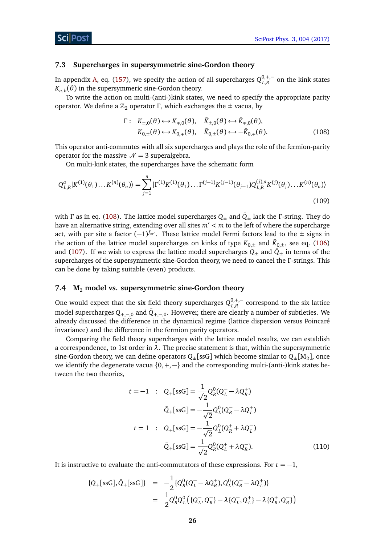#### <span id="page-26-0"></span>**7.3 Supercharges in supersymmetric sine-Gordon theory**

In appendix [A,](#page-31-0) eq. [\(157\)](#page-36-2), we specify the action of all supercharges  $Q_{L,R}^{0,+,+}$  on the kink states  $K_{a,b}(\theta)$  in the supersymmeric sine-Gordon theory.

To write the action on multi-(anti-)kink states, we need to specify the appropriate parity operator. We define a  $\mathbb{Z}_2$  operator Γ, which exchanges the  $\pm$  vacua, by

<span id="page-26-2"></span>
$$
\Gamma: K_{\pm,0}(\theta) \longleftrightarrow K_{\mp,0}(\theta), \quad \bar{K}_{\pm,0}(\theta) \longleftrightarrow \bar{K}_{\mp,0}(\theta),
$$
  
\n
$$
K_{0,\pm}(\theta) \longleftrightarrow K_{0,\mp}(\theta), \quad \bar{K}_{0,\pm}(\theta) \longleftrightarrow -\bar{K}_{0,\mp}(\theta).
$$
 (108)

This operator anti-commutes with all six supercharges and plays the role of the fermion-parity operator for the massive  $\mathcal{N} = 3$  superalgebra.

On multi-kink states, the supercharges have the schematic form

$$
Q_{L,R}^a|K^{(1)}(\theta_1)\dots K^{(n)}(\theta_n)\rangle = \sum_{j=1}^n |\Gamma^{(1)}K^{(1)}(\theta_1)\dots \Gamma^{(j-1)}K^{(j-1)}(\theta_{j-1})Q_{L,R}^{(j),a}K^{(j)}(\theta_j)\dots K^{(n)}(\theta_n)\rangle
$$
\n(109)

with *Γ* as in eq. [\(108\)](#page-26-2). The lattice model supercharges  $Q_{\pm}$  and  $\bar{Q}_{\pm}$  lack the *Γ*-string. They do have an alternative string, extending over all sites  $m' < m$  to the left of where the supercharge act, with per site a factor (−1)<sup>f<sub>m′</sub>.</sup> These lattice model Fermi factors lead to the ± signs in the action of the lattice model supercharges on kinks of type  $K_{0,\pm}$  and  $\bar{K}_{0,\pm},$  see eq. [\(106\)](#page-25-4) and [\(107\)](#page-25-5). If we wish to express the lattice model supercharges  $Q_{\pm}$  and  $\bar{Q}_{\pm}$  in terms of the supercharges of the supersymmetric sine-Gordon theory, we need to cancel the *Γ* -strings. This can be done by taking suitable (even) products.

# <span id="page-26-1"></span>**7.4 M**<sup>2</sup> **model vs. supersymmetric sine-Gordon theory**

One would expect that the six field theory supercharges  $Q_{L,R}^{0, +, -}$  correspond to the six lattice model supercharges  $Q_{+,-,0}$  and  $\bar{Q}_{+,-,0}$ . However, there are clearly a number of subtleties. We already discussed the difference in the dynamical regime (lattice dispersion versus Poincaré invariance) and the difference in the fermion parity operators.

Comparing the field theory supercharges with the lattice model results, we can establish a correspondence, to 1st order in  $\lambda$ . The precise statement is that, within the supersymmetric sine-Gordon theory, we can define operators  $Q_{\pm}[\mathrm{ssG}]$  which become similar to  $Q_{\pm}[\mathrm{M}_2]$ , once we identify the degenerate vacua {0,+,−} and the corresponding multi-(anti-)kink states between the two theories,

$$
t = -1 \quad : \quad Q_{+}[ssG] = \frac{1}{\sqrt{2}} Q_{R}^{0}(Q_{L}^{-} - \lambda Q_{R}^{+})
$$
\n
$$
\bar{Q}_{+}[ssG] = -\frac{1}{\sqrt{2}} Q_{L}^{0}(Q_{R}^{-} - \lambda Q_{L}^{+})
$$
\n
$$
t = 1 \quad : \quad Q_{+}[ssG] = -\frac{1}{\sqrt{2}} Q_{L}^{0}(Q_{R}^{+} + \lambda Q_{L}^{-})
$$
\n
$$
\bar{Q}_{+}[ssG] = \frac{1}{\sqrt{2}} Q_{R}^{0}(Q_{L}^{+} + \lambda Q_{R}^{-}). \tag{110}
$$

It is instructive to evaluate the anti-commutators of these expressions. For  $t = -1$ ,

$$
{Q_{+}[ssG], \bar{Q}_{+}[ssG]} = -\frac{1}{2} \{ Q_{R}^{0}(Q_{L}^{-} - \lambda Q_{R}^{+}), Q_{L}^{0}(Q_{R}^{-} - \lambda Q_{L}^{+}) \}
$$
  

$$
= \frac{1}{2} Q_{R}^{0} Q_{L}^{0} (\{ Q_{L}^{-}, Q_{R}^{-} \} - \lambda \{ Q_{L}^{-}, Q_{L}^{+} \} - \lambda \{ Q_{R}^{+}, Q_{R}^{-} \} )
$$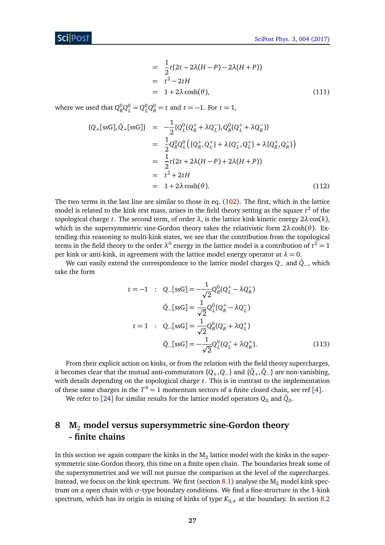$$
= \frac{1}{2}t(2t - 2\lambda(H - P) - 2\lambda(H + P))
$$
  
=  $t^2 - 2tH$   
=  $1 + 2\lambda \cosh(\theta)$ , (111)

where we used that  $Q_R^0 Q_L^0 = Q_L^0 Q_R^0 = t$  and  $t = -1$ . For  $t = 1$ ,

$$
\{Q_{+}[ssG], \bar{Q}_{+}[ssG]\} = -\frac{1}{2} \{Q_{L}^{0}(Q_{R}^{+} + \lambda Q_{L}^{-}), Q_{R}^{0}(Q_{L}^{+} + \lambda Q_{R}^{-})\}
$$
\n
$$
= \frac{1}{2} Q_{R}^{0} Q_{L}^{0} \{Q_{R}^{+}, Q_{L}^{+}\} + \lambda \{Q_{L}^{-}, Q_{L}^{+}\} + \lambda \{Q_{R}^{+}, Q_{R}^{-}\}\}
$$
\n
$$
= \frac{1}{2} t (2t + 2\lambda (H - P) + 2\lambda (H + P))
$$
\n
$$
= t^{2} + 2tH
$$
\n
$$
= 1 + 2\lambda \cosh(\theta). \qquad (112)
$$

The two terms in the last line are similar to those in eq. [\(102\)](#page-25-6). The first, which in the lattice model is related to the kink rest mass, arises in the field theory setting as the square  $t^2$  of the topological charge *t*. The second term, of order *λ*, is the lattice kink kinetic energy 2*λ*cos(*k*), which in the supersymmetric sine-Gordon theory takes the relativistic form 2*λ*cosh(*θ*). Extending this reasoning to multi-kink states, we see that the contribution from the topological terms in the field theory to the order  $\lambda^0$  energy in the lattice model is a contribution of  $t^2 = 1$ per kink or anti-kink, in agreement with the lattice model energy operator at  $\lambda = 0$ .

We can easily extend the correspondence to the lattice model charges *Q*<sup>−</sup> and *Q*¯ −, which take the form

$$
t = -1 \quad : \quad Q_{-}[s s G] = -\frac{1}{\sqrt{2}} Q_{R}^{0} (Q_{L}^{+} - \lambda Q_{R}^{-})
$$
\n
$$
\bar{Q}_{-}[s s G] = \frac{1}{\sqrt{2}} Q_{L}^{0} (Q_{R}^{+} - \lambda Q_{L}^{-})
$$
\n
$$
t = 1 \quad : \quad Q_{-}[s s G] = \frac{1}{\sqrt{2}} Q_{R}^{0} (Q_{R}^{-} + \lambda Q_{L}^{+})
$$
\n
$$
\bar{Q}_{-}[s s G] = -\frac{1}{\sqrt{2}} Q_{L}^{0} (Q_{L}^{-} + \lambda Q_{R}^{+}). \tag{113}
$$

From their explicit action on kinks, or from the relation with the field theory supercharges, it becomes clear that the mutual anti-commutators  $\{Q_+,Q_-\}$  and  $\{\bar{Q}_+, \bar{Q}_-\}$  are non-vanishing, with details depending on the topological charge *t*. This is in contrast to the implementation of these same charges in the  $T^4 = 1$  $T^4 = 1$  $T^4 = 1$  momentum sectors of a finite closed chain, see ref [4].

We refer to [[24](#page-39-8)] for similar results for the lattice model operators  $Q_0$  and  $\bar{Q}_0$ .

# <span id="page-27-0"></span>**8 M**<sup>2</sup> **model versus supersymmetric sine-Gordon theory - finite chains**

In this section we again compare the kinks in the  $\mathrm{M}_2$  lattice model with the kinks in the supersymmetric sine-Gordon theory, this time on a finite open chain. The boundaries break some of the supersymmetries and we will not pursue the comparison at the level of the supercharges. Instead, we focus on the kink spectrum. We first (section [8.1\)](#page-28-0) analyse the  $M_2$  model kink spectrum on a open chain with *σ*-type boundary conditions. We find a fine-structure in the 1-kink spectrum, which has its origin in mixing of kinks of type  $K_{0,\pm}$  at the boundary. In section [8.2](#page-29-0)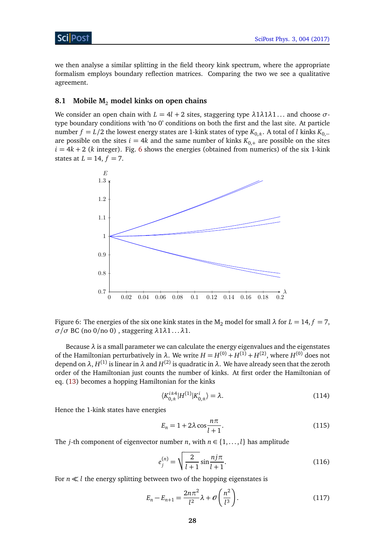we then analyse a similar splitting in the field theory kink spectrum, where the appropriate formalism employs boundary reflection matrices. Comparing the two we see a qualitative agreement.

## <span id="page-28-0"></span>**8.1 Mobile M**<sup>2</sup> **model kinks on open chains**

We consider an open chain with  $L = 4l + 2$  sites, staggering type  $\lambda 1\lambda 1\lambda 1...$  and choose  $\sigma$ type boundary conditions with 'no 0' conditions on both the first and the last site. At particle number *f* = *L*/2 the lowest energy states are 1-kink states of type  $K_{0,+}$ . A total of *l* kinks  $K_{0,-}$ are possible on the sites  $i = 4k$  and the same number of kinks  $K_{0,+}$  are possible on the sites  $i = 4k + 2$  (*k* integer). Fig. [6](#page-28-1) shows the energies (obtained from numerics) of the six 1-kink states at  $L = 14$ ,  $f = 7$ .



<span id="page-28-1"></span>Figure 6: The energies of the six one kink states in the  $M_2$  model for small  $\lambda$  for  $L = 14$ ,  $f = 7$ , *σ*/*σ* BC (no 0/no 0) , staggering *λ*1*λ*1 . . .*λ*1.

Because *λ* is a small parameter we can calculate the energy eigenvalues and the eigenstates of the Hamiltonian perturbatively in  $\lambda$ . We write  $H = H^{(0)} + H^{(1)} + H^{(2)}$ , where  $H^{(0)}$  does not depend on *λ*,  $H^{(1)}$  is linear in *λ* and  $H^{(2)}$  is quadratic in *λ*. We have already seen that the zeroth order of the Hamiltonian just counts the number of kinks. At first order the Hamiltonian of eq. [\(13\)](#page-7-2) becomes a hopping Hamiltonian for the kinks

<span id="page-28-2"></span>
$$
\langle K_{0,\pm}^{i\pm 4} | H^{(1)} | K_{0,\pm}^{i} \rangle = \lambda.
$$
 (114)

Hence the 1-kink states have energies

$$
E_n = 1 + 2\lambda \cos \frac{n\pi}{l+1}.
$$
\n(115)

The *j*-th component of eigenvector number *n*, with  $n \in \{1, \ldots, l\}$  has amplitude

$$
e_j^{(n)} = \sqrt{\frac{2}{l+1}} \sin \frac{n j \pi}{l+1}.
$$
\n(116)

For  $n \ll l$  the energy splitting between two of the hopping eigenstates is

$$
E_n - E_{n+1} = \frac{2n\pi^2}{l^2} \lambda + \mathcal{O}\left(\frac{n^2}{l^3}\right). \tag{117}
$$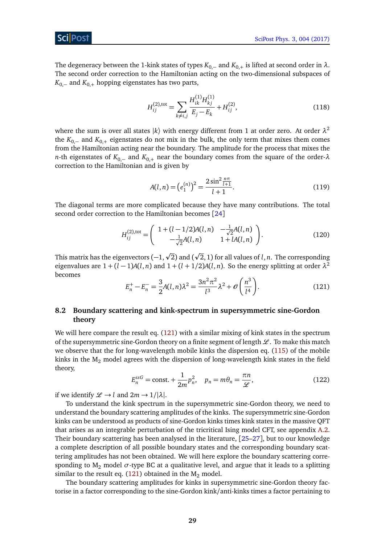# ScilPos

The degeneracy between the 1-kink states of types  $K_{0,-}$  and  $K_{0,+}$  is lifted at second order in  $\lambda$ . The second order correction to the Hamiltonian acting on the two-dimensional subspaces of  $K_{0,-}$  and  $K_{0,+}$  hopping eigenstates has two parts,

$$
H_{ij}^{(2),\text{tot}} = \sum_{k \neq i,j} \frac{H_{ik}^{(1)} H_{kj}^{(1)}}{E_j - E_k} + H_{ij}^{(2)},\tag{118}
$$

where the sum is over all states  $|k\rangle$  with energy different from 1 at order zero. At order  $\lambda^2$ the  $K_{0,-}$  and  $K_{0,+}$  eigenstates do not mix in the bulk, the only term that mixes them comes from the Hamiltonian acting near the boundary. The amplitude for the process that mixes the *n*-th eigenstates of *K*0,<sup>−</sup> and *K*0,<sup>+</sup> near the boundary comes from the square of the order-*λ* correction to the Hamiltonian and is given by

$$
A(l,n) = \left(e_1^{(n)}\right)^2 = \frac{2\sin^2\frac{n\pi}{l+1}}{l+1}.
$$
\n(119)

The diagonal terms are more complicated because they have many contributions. The total second order correction to the Hamiltonian becomes [[24](#page-39-8)]

$$
H_{ij}^{(2),\text{tot}} = \begin{pmatrix} 1 + (l - 1/2)A(l,n) & -\frac{1}{\sqrt{2}}A(l,n) \\ -\frac{1}{\sqrt{2}}A(l,n) & 1 + lA(l,n) \end{pmatrix}.
$$
 (120)

<span id="page-29-1"></span>This matrix has the eigenvectors (−1,<sup>p</sup> 2) and ( 2, 1) for all values of *l*, *n*. The corresponding eigenvalues are  $1 + (l - 1)A(l, n)$  and  $1 + (l + 1/2)A(l, n)$ . So the energy splitting at order  $\lambda^2$ becomes

p

$$
E_n^+ - E_n^- = \frac{3}{2} A(l, n) \lambda^2 = \frac{3n^2 \pi^2}{l^3} \lambda^2 + \mathcal{O}\left(\frac{n^3}{l^4}\right).
$$
 (121)

# <span id="page-29-0"></span>**8.2 Boundary scattering and kink-spectrum in supersymmetric sine-Gordon theory**

We will here compare the result eq. [\(121\)](#page-29-1) with a similar mixing of kink states in the spectrum of the supersymmetric sine-Gordon theory on a finite segment of length  $\mathcal L$ . To make this match we observe that the for long-wavelength mobile kinks the dispersion eq. [\(115\)](#page-28-2) of the mobile kinks in the  $M_2$  model agrees with the dispersion of long-wavelength kink states in the field theory,

$$
E_n^{ssG} = \text{const.} + \frac{1}{2m} p_n^2, \quad p_n = m\theta_n = \frac{\pi n}{\mathscr{L}},\tag{122}
$$

if we identify  $\mathcal{L} \rightarrow l$  and  $2m \rightarrow 1/|\lambda|$ .

To understand the kink spectrum in the supersymmetric sine-Gordon theory, we need to understand the boundary scattering amplitudes of the kinks. The supersymmetric sine-Gordon kinks can be understood as products of sine-Gordon kinks times kink states in the massive QFT that arises as an integrable perturbation of the tricritical Ising model CFT, see appendix [A.2.](#page-33-1) Their boundary scattering has been analysed in the literature, [[25](#page-39-12)[–27](#page-39-13)], but to our knowledge a complete description of all possible boundary states and the corresponding boundary scattering amplitudes has not been obtained. We will here explore the boundary scattering corresponding to  $M_2$  model  $\sigma$ -type BC at a qualitative level, and argue that it leads to a splitting similar to the result eq. [\(121\)](#page-29-1) obtained in the  $M_2$  model.

The boundary scattering amplitudes for kinks in supersymmetric sine-Gordon theory factorise in a factor corresponding to the sine-Gordon kink/anti-kinks times a factor pertaining to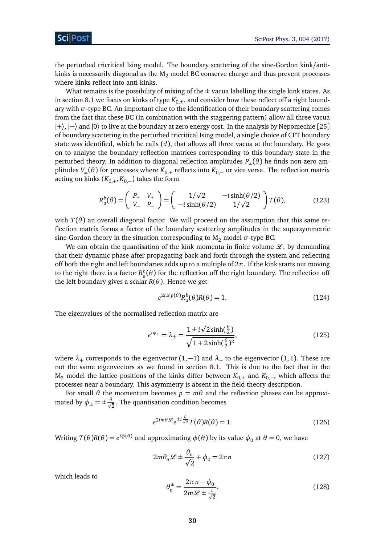the perturbed tricritical Ising model. The boundary scattering of the sine-Gordon kink/antikinks is necessarily diagonal as the  $M_2$  model BC conserve charge and thus prevent processes where kinks reflect into anti-kinks.

What remains is the possibility of mixing of the  $\pm$  vacua labelling the single kink states. As in section [8.1](#page-28-0) we focus on kinks of type  $K_{0,\pm}$ , and consider how these reflect off a right boundary with *σ*-type BC. An important clue to the identification of their boundary scattering comes from the fact that these BC (in combination with the staggering pattern) allow all three vacua |+〉, |−〉 and |0〉 to live at the boundary at zero energy cost. In the analysis by Nepomechie [[25](#page-39-12)] of boundary scattering in the perturbed tricritical Ising model, a single choice of CFT boundary state was identified, which he calls (*d*), that allows all three vacua at the boundary. He goes on to analyse the boundary reflection matrices corresponding to this boundary state in the perturbed theory. In addition to diagonal reflection amplitudes  $P_{\pm}(\theta)$  he finds non-zero amplitudes *V*<sub>±</sub>( $\theta$ ) for processes where  $K_{0,+}$  reflects into  $K_{0,-}$  or vice versa. The reflection matrix acting on kinks  $(K_{0,+}, K_{0,-})$  takes the form

$$
R_a^b(\theta) = \begin{pmatrix} P_+ & V_+ \\ V_- & P_- \end{pmatrix} = \begin{pmatrix} 1/\sqrt{2} & -i\sinh(\theta/2) \\ -i\sinh(\theta/2) & 1/\sqrt{2} \end{pmatrix} T(\theta), \tag{123}
$$

with  $T(\theta)$  an overall diagonal factor. We will proceed on the assumption that this same reflection matrix forms a factor of the boundary scattering amplitudes in the supersymmetric sine-Gordon theory in the situation corresponding to  $M_2$  model  $\sigma$ -type BC.

We can obtain the quantisation of the kink momenta in finite volume  $\mathscr{L}$ , by demanding that their dynamic phase after propagating back and forth through the system and reflecting off both the right and left boundaries adds up to a multiple of 2*π*. If the kink starts out moving to the right there is a factor  $R_a^b(\theta)$  for the reflection off the right boundary. The reflection off the left boundary gives a scalar *R*(*θ*). Hence we get

$$
e^{2i\mathscr{L}p(\theta)}R_a^b(\theta)R(\theta) = 1.
$$
\n(124)

The eigenvalues of the normalised reflection matrix are

$$
e^{i\phi_{\pm}} = \lambda_{\pm} = \frac{1 \pm i\sqrt{2}\sinh(\frac{\theta}{2})}{\sqrt{1 + 2\sinh(\frac{\theta}{2})^2}},
$$
\n(125)

where *<sup>λ</sup>*<sup>+</sup> corresponds to the eigenvector (1,−1) and *<sup>λ</sup>*<sup>−</sup> to the eigenvector (1, 1). These are not the same eigenvectors as we found in section [8.1.](#page-28-0) This is due to the fact that in the M<sub>2</sub> model the lattice positions of the kinks differ between  $K_{0,+}$  and  $K_{0,-}$ , which affects the processes near a boundary. This asymmetry is absent in the field theory description.

For small  $\theta$  the momentum becomes  $p = m\theta$  and the reflection phases can be approximated by  $\phi_{\pm} = \pm \frac{\theta}{\sqrt{2}}$  $\frac{1}{2}$ . The quantisation condition becomes

$$
e^{2im\theta \mathcal{L}}e^{\pm i\frac{\theta}{\sqrt{2}}}T(\theta)R(\theta) = 1.
$$
 (126)

Writing  $T(\theta)R(\theta) = e^{i\phi(\theta)}$  and approximating  $\phi(\theta)$  by its value  $\phi_0$  at  $\theta = 0$ , we have

$$
2m\theta_n \mathcal{L} \pm \frac{\theta_n}{\sqrt{2}} + \phi_0 = 2\pi n \tag{127}
$$

which leads to

$$
\theta_n^{\pm} = \frac{2\pi n - \phi_0}{2m\mathcal{L} \pm \frac{1}{\sqrt{2}}}.
$$
\n(128)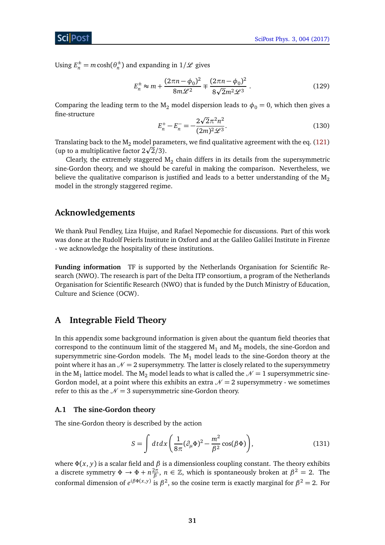ScilPos<sup>.</sup>

Using  $E_n^{\pm} = m \cosh(\theta_n^{\pm})$  $\binom{n}{n}$  and expanding in  $1/\mathscr{L}$  gives

$$
E_n^{\pm} \approx m + \frac{(2\pi n - \phi_0)^2}{8m\mathcal{L}^2} \mp \frac{(2\pi n - \phi_0)^2}{8\sqrt{2}m^2\mathcal{L}^3} \,. \tag{129}
$$

Comparing the leading term to the M<sub>2</sub> model dispersion leads to  $\phi_0 = 0$ , which then gives a fine-structure p

$$
E_n^+ - E_n^- = -\frac{2\sqrt{2}\pi^2 n^2}{(2m)^2 \mathcal{L}^3}.
$$
\n(130)

Translating back to the  $M_2$  model parameters, we find qualitative agreement with the eq. [\(121\)](#page-29-1) Iranslating back to the M<sub>2</sub> model para<br>(up to a multiplicative factor 2 $\sqrt{2}/3$ ).

Clearly, the extremely staggered  $M_2$  chain differs in its details from the supersymmetric sine-Gordon theory, and we should be careful in making the comparison. Nevertheless, we believe the qualitative comparison is justified and leads to a better understanding of the  $M<sub>2</sub>$ model in the strongly staggered regime.

# **Acknowledgements**

We thank Paul Fendley, Liza Huijse, and Rafael Nepomechie for discussions. Part of this work was done at the Rudolf Peierls Institute in Oxford and at the Galileo Galilei Institute in Firenze - we acknowledge the hospitality of these institutions.

**Funding information** TF is supported by the Netherlands Organisation for Scientific Research (NWO). The research is part of the Delta ITP consortium, a program of the Netherlands Organisation for Scientific Research (NWO) that is funded by the Dutch Ministry of Education, Culture and Science (OCW).

# <span id="page-31-0"></span>**A Integrable Field Theory**

In this appendix some background information is given about the quantum field theories that correspond to the continuum limit of the staggered  $M_1$  and  $M_2$  models, the sine-Gordon and supersymmetric sine-Gordon models. The  $M_1$  model leads to the sine-Gordon theory at the point where it has an  $\mathcal{N} = 2$  supersymmetry. The latter is closely related to the supersymmetry in the  $M_1$  lattice model. The  $M_2$  model leads to what is called the  $\mathcal{N}=1$  supersymmetric sine-Gordon model, at a point where this exhibits an extra  $\mathcal{N} = 2$  supersymmetry - we sometimes refer to this as the  $\mathcal{N} = 3$  supersymmetric sine-Gordon theory.

## <span id="page-31-1"></span>**A.1 The sine-Gordon theory**

The sine-Gordon theory is described by the action

$$
S = \int dt dx \left( \frac{1}{8\pi} (\partial_{\mu} \Phi)^2 - \frac{m^2}{\beta^2} \cos(\beta \Phi) \right),
$$
 (131)

where  $\Phi(x, y)$  is a scalar field and  $\beta$  is a dimensionless coupling constant. The theory exhibits a discrete symmetry  $\Phi \to \Phi + n \frac{2\pi}{\beta}$ *, <i>n* ∈ ℤ, which is spontaneously broken at  $β<sup>2</sup> = 2$ . The conformal dimension of  $e^{i\beta\Phi(x,y)}$  is  $\beta^2$ , so the cosine term is exactly marginal for  $\beta^2 = 2$ . For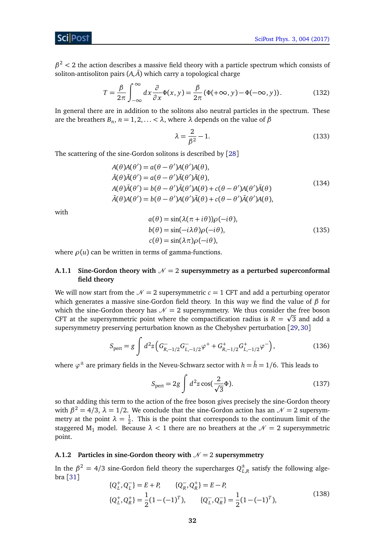# Sci Post

 $\beta^2$  < 2 the action describes a massive field theory with a particle spectrum which consists of soliton-antisoliton pairs  $(A, \overline{A})$  which carry a topological charge

$$
T = \frac{\beta}{2\pi} \int_{-\infty}^{\infty} dx \frac{\partial}{\partial x} \Phi(x, y) = \frac{\beta}{2\pi} (\Phi(+\infty, y) - \Phi(-\infty, y)).
$$
 (132)

In general there are in addition to the solitons also neutral particles in the spectrum. These are the breathers  $B_n$ ,  $n = 1, 2, \ldots < \lambda$ , where  $\lambda$  depends on the value of  $\beta$ 

<span id="page-32-3"></span><span id="page-32-2"></span>
$$
\lambda = \frac{2}{\beta^2} - 1.\tag{133}
$$

The scattering of the sine-Gordon solitons is described by [[28](#page-40-0)]

$$
A(\theta)A(\theta') = a(\theta - \theta')A(\theta')A(\theta),
$$
  
\n
$$
\bar{A}(\theta)\bar{A}(\theta') = a(\theta - \theta')\bar{A}(\theta')\bar{A}(\theta),
$$
  
\n
$$
A(\theta)\bar{A}(\theta') = b(\theta - \theta')\bar{A}(\theta')A(\theta) + c(\theta - \theta')A(\theta')\bar{A}(\theta)
$$
  
\n
$$
\bar{A}(\theta)A(\theta') = b(\theta - \theta')A(\theta')\bar{A}(\theta) + c(\theta - \theta')\bar{A}(\theta')A(\theta),
$$
\n(134)

<span id="page-32-4"></span>with

$$
a(\theta) = \sin(\lambda(\pi + i\theta))\rho(-i\theta),
$$
  
\n
$$
b(\theta) = \sin(-i\lambda\theta)\rho(-i\theta),
$$
  
\n
$$
c(\theta) = \sin(\lambda\pi)\rho(-i\theta),
$$
\n(135)

where  $\rho(u)$  can be written in terms of gamma-functions.

# <span id="page-32-0"></span>**A.1.1** Sine-Gordon theory with  $N = 2$  supersymmetry as a perturbed superconformal **field theory**

We will now start from the  $\mathcal{N} = 2$  supersymmetric  $c = 1$  CFT and add a perturbing operator which generates a massive sine-Gordon field theory. In this way we find the value of *β* for which the sine-Gordon theory has  $\mathcal{N} = 2$  supersymmetry. We thus consider the free boson CFT at the supersymmetric point where the compactification radius is  $R = \sqrt{3}$  and add a supersymmetry preserving perturbation known as the Chebyshev perturbation [[29,](#page-40-1)[30](#page-40-2)]

$$
S_{\text{pert}} = g \int d^2 z \left( G_{R,-1/2}^- G_{L,-1/2}^- \varphi^+ + G_{R,-1/2}^+ G_{L,-1/2}^+ \varphi^- \right), \tag{136}
$$

where *ϕ* <sup>±</sup> are primary fields in the Neveu-Schwarz sector with *<sup>h</sup>* <sup>=</sup> ¯*<sup>h</sup>* <sup>=</sup> <sup>1</sup>*/*6. This leads to

<span id="page-32-5"></span>
$$
S_{\text{pert}} = 2g \int d^2 z \cos(\frac{2}{\sqrt{3}}\Phi). \tag{137}
$$

so that adding this term to the action of the free boson gives precisely the sine-Gordon theory with  $\beta^2 = 4/3$ ,  $\lambda = 1/2$ . We conclude that the sine-Gordon action has an  $\mathcal{N} = 2$  supersymmetry at the point  $\lambda = \frac{1}{2}$  $\frac{1}{2}$ . This is the point that corresponds to the continuum limit of the staggered M<sub>1</sub> model. Because  $\lambda$  < 1 there are no breathers at the  $\mathcal{N} = 2$  supersymmetric point.

#### <span id="page-32-1"></span>**A.1.2** Particles in sine-Gordon theory with  $N = 2$  supersymmetry

In the  $\beta^2=4/3$  sine-Gordon field theory the supercharges  $Q_L^\pm$  $\mathcal{L}_{L,R}^{\pm}$  satisfy the following algebra [[31](#page-40-3)]

$$
\{Q_L^+, Q_L^-\} = E + P, \qquad \{Q_R^-, Q_R^+\} = E - P,
$$
  
\n
$$
\{Q_L^+, Q_R^+\} = \frac{1}{2} (1 - (-1)^T), \qquad \{Q_L^-, Q_R^-\} = \frac{1}{2} (1 - (-1)^T),
$$
\n(138)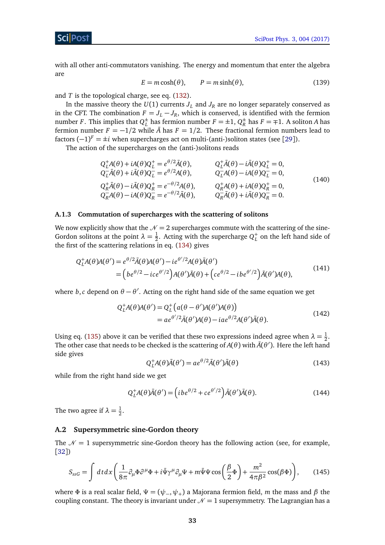with all other anti-commutators vanishing. The energy and momentum that enter the algebra are

<span id="page-33-2"></span>
$$
E = m \cosh(\theta), \qquad P = m \sinh(\theta), \tag{139}
$$

and *T* is the topological charge, see eq. [\(132\)](#page-32-2).

In the massive theory the  $U(1)$  currents  $J_L$  and  $J_R$  are no longer separately conserved as in the CFT. The combination  $F = J_L - J_R$ , which is conserved, is identified with the fermion number *F*. This implies that  $Q_L^{\pm}$  $L_L^{\pm}$  has fermion number  $F = \pm 1$ ,  $Q_R^{\pm}$  $R^{\pm}$  has *F* =  $\mp$ 1. A soliton *A* has fermion number  $F = -1/2$  while  $\overline{A}$  has  $F = 1/2$ . These fractional fermion numbers lead to factors  $(-1)^F = \pm i$  when supercharges act on multi-(anti-)soliton states (see [[29](#page-40-1)]).

The action of the supercharges on the (anti-)solitons reads

$$
Q_L^+ A(\theta) + iA(\theta)Q_L^+ = e^{\theta/2}\bar{A}(\theta), \qquad Q_L^+ \bar{A}(\theta) - i\bar{A}(\theta)Q_L^+ = 0, Q_L^- \bar{A}(\theta) + i\bar{A}(\theta)Q_L^- = e^{\theta/2}A(\theta), \qquad Q_L^- A(\theta) - iA(\theta)Q_L^- = 0, Q_R^+ \bar{A}(\theta) - i\bar{A}(\theta)Q_R^+ = e^{-\theta/2}A(\theta), \qquad Q_R^+ A(\theta) + iA(\theta)Q_R^+ = 0, Q_R^- A(\theta) - iA(\theta)Q_R^- = e^{-\theta/2}\bar{A}(\theta), \qquad Q_R^- \bar{A}(\theta) + i\bar{A}(\theta)Q_R^- = 0.
$$
\n(140)

#### <span id="page-33-0"></span>**A.1.3 Commutation of supercharges with the scattering of solitons**

We now explicitly show that the  $\mathcal{N} = 2$  supercharges commute with the scattering of the sine-Gordon solitons at the point  $\lambda = \frac{1}{2}$  $\frac{1}{2}$ . Acting with the supercharge  $Q_L^+$  on the left hand side of the first of the scattering relations in eq. [\(134\)](#page-32-3) gives

$$
Q_L^+ A(\theta)A(\theta') = e^{\theta/2} \bar{A}(\theta)A(\theta') - ie^{\theta'/2} A(\theta) \bar{A}(\theta')
$$
  
=  $(be^{\theta/2} - ice^{\theta'/2})A(\theta')\bar{A}(\theta) + (ce^{\theta/2} - ibe^{\theta'/2})\bar{A}(\theta')A(\theta),$  (141)

where *b*,*c* depend on  $\theta - \theta'$ . Acting on the right hand side of the same equation we get

$$
Q_L^+ A(\theta) A(\theta') = Q_L^+ \left( a(\theta - \theta') A(\theta') A(\theta) \right)
$$
  
=  $ae^{\theta'/2} \bar{A}(\theta') A(\theta) - iae^{\theta/2} A(\theta') \bar{A}(\theta).$  (142)

Using eq. [\(135\)](#page-32-4) above it can be verified that these two expressions indeed agree when  $\lambda = \frac{1}{2}$  $rac{1}{2}$ . The other case that needs to be checked is the scattering of  $A(\theta)$  with  $\bar{A}(\theta')$ . Here the left hand side gives

$$
Q_L^+ A(\theta) \bar{A}(\theta') = a e^{\theta/2} \bar{A}(\theta') \bar{A}(\theta)
$$
\n(143)

while from the right hand side we get

$$
Q_L^+ A(\theta) \bar{A}(\theta') = \left( i b e^{\theta/2} + c e^{\theta'/2} \right) \bar{A}(\theta') \bar{A}(\theta).
$$
 (144)

The two agree if  $\lambda = \frac{1}{2}$  $\frac{1}{2}$ .

# <span id="page-33-1"></span>**A.2 Supersymmetric sine-Gordon theory**

The  $\mathcal{N} = 1$  supersymmetric sine-Gordon theory has the following action (see, for example, [[32](#page-40-4)])

$$
S_{ssG} = \int dt dx \left( \frac{1}{8\pi} \partial_{\mu} \Phi \partial^{\mu} \Phi + i \bar{\Psi} \gamma^{\mu} \partial_{\mu} \Psi + m \bar{\Psi} \Psi \cos \left( \frac{\beta}{2} \Phi \right) + \frac{m^2}{4\pi \beta^2} \cos(\beta \Phi) \right), \tag{145}
$$

where *Φ* is a real scalar field,  $\Psi = (\psi_-, \psi_+)$  a Majorana fermion field, *m* the mass and *β* the coupling constant. The theory is invariant under  $\mathcal{N} = 1$  supersymmetry. The Lagrangian has a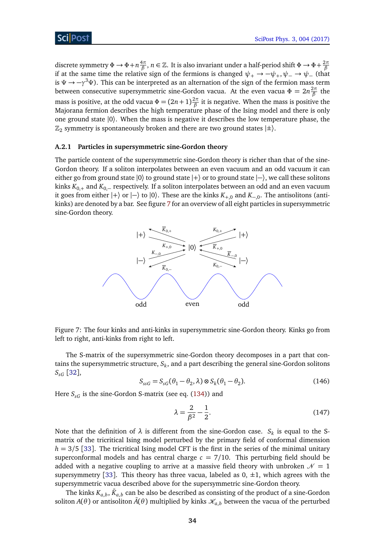discrete symmetry  $\Phi \to \Phi + n \frac{4\pi}{\beta}$ *β* , *n* ∈ Z. It is also invariant under a half-period shift *Φ* → *Φ*+ 2*π β* if at the same time the relative sign of the fermions is changed  $\psi_+ \to -\psi_+$ ,  $\psi_- \to \psi_-$  (that is *Ψ* → −*γ* <sup>3</sup>*Ψ*). This can be interpreted as an alternation of the sign of the fermion mass term between consecutive supersymmetric sine-Gordon vacua. At the even vacua *Φ* = 2*n* 2*π β* the mass is positive, at the odd vacua  $\Phi = (2n+1) \frac{2\pi}{\beta}$  $\frac{2\pi}{\beta}$  it is negative. When the mass is positive the Majorana fermion describes the high temperature phase of the Ising model and there is only one ground state |0〉. When the mass is negative it describes the low temperature phase, the  $\mathbb{Z}_2$  symmetry is spontaneously broken and there are two ground states  $|\pm\rangle$ .

#### <span id="page-34-0"></span>**A.2.1 Particles in supersymmetric sine-Gordon theory**

The particle content of the supersymmetric sine-Gordon theory is richer than that of the sine-Gordon theory. If a soliton interpolates between an even vacuum and an odd vacuum it can either go from ground state  $|0\rangle$  to ground state  $|+\rangle$  or to ground state  $|-\rangle$ , we call these solitons kinks *K*0,<sup>+</sup> and *K*0,<sup>−</sup> respectively. If a soliton interpolates between an odd and an even vacuum it goes from either  $|+\rangle$  or  $|-\rangle$  to  $|0\rangle$ . These are the kinks  $K_{+,0}$  and  $K_{-,0}$ . The antisolitons (antikinks) are denoted by a bar. See figure [7](#page-34-1) for an overview of all eight particles in supersymmetric sine-Gordon theory.



<span id="page-34-1"></span>Figure 7: The four kinks and anti-kinks in supersymmetric sine-Gordon theory. Kinks go from left to right, anti-kinks from right to left.

<span id="page-34-2"></span>The S-matrix of the supersymmetric sine-Gordon theory decomposes in a part that contains the supersymmetric structure, *S<sup>k</sup>* , and a part describing the general sine-Gordon solitons *SsG* [[32](#page-40-4)],

$$
S_{ssG} = S_{sG}(\theta_1 - \theta_2, \lambda) \otimes S_k(\theta_1 - \theta_2).
$$
 (146)

Here  $S_{SG}$  is the sine-Gordon S-matrix (see eq. [\(134\)](#page-32-3)) and

$$
\lambda = \frac{2}{\beta^2} - \frac{1}{2}.\tag{147}
$$

Note that the definition of  $\lambda$  is different from the sine-Gordon case.  $S_k$  is equal to the Smatrix of the tricritical Ising model perturbed by the primary field of conformal dimension  $h = 3/5$  [[33](#page-40-5)]. The tricritical Ising model CFT is the first in the series of the minimal unitary superconformal models and has central charge  $c = 7/10$ . This perturbing field should be added with a negative coupling to arrive at a massive field theory with unbroken  $\mathcal{N} = 1$ supersymmetry [[33](#page-40-5)]. This theory has three vacua, labeled as  $0, \pm 1$ , which agrees with the supersymmetric vacua described above for the supersymmetric sine-Gordon theory.

The kinks  $K_{a,b}$  ,  $\bar{K}_{a,b}$  can be also be described as consisting of the product of a sine-Gordon soliton *A*( $\theta$ ) or antisoliton  $\bar{A}(\theta)$  multiplied by kinks  $\mathcal{K}_{a,b}$  between the vacua of the perturbed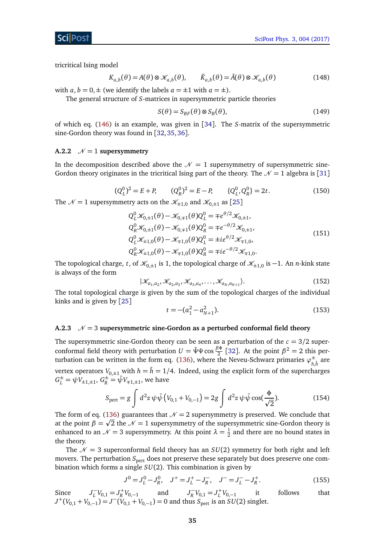tricritical Ising model

$$
K_{a,b}(\theta) = A(\theta) \otimes \mathcal{K}_{a,b}(\theta), \qquad \bar{K}_{a,b}(\theta) = \bar{A}(\theta) \otimes \mathcal{K}_{a,b}(\theta)
$$
(148)

with  $a, b = 0, \pm$  (we identify the labels  $a = \pm 1$  with  $a = \pm$ ).

The general structure of *S*-matrices in supersymmetric particle theories

$$
S(\theta) = S_{BF}(\theta) \otimes S_B(\theta),
$$
\n(149)

of which eq. [\(146\)](#page-34-2) is an example, was given in [[34](#page-40-6)]. The *S*-matrix of the supersymmetric sine-Gordon theory was found in [[32,](#page-40-4)[35,](#page-40-7)[36](#page-40-8)].

#### <span id="page-35-0"></span>**A.2.2**  $\mathcal{N} = 1$  **supersymmetry**

In the decomposition described above the  $\mathcal{N} = 1$  supersymmetry of supersymmetric sine-Gordon theory originates in the tricritical Ising part of the theory. The  $\mathcal{N} = 1$  algebra is [[31](#page-40-3)]

$$
(Q_L^0)^2 = E + P, \qquad (Q_R^0)^2 = E - P, \qquad \{Q_L^0, Q_R^0\} = 2t. \tag{150}
$$

The  $\mathcal{N} = 1$  supersymmetry acts on the  $\mathcal{K}_{\pm 1,0}$  and  $\mathcal{K}_{0,\pm 1}$  as [[25](#page-39-12)]

$$
Q_{L}^{0} \mathcal{K}_{0,\pm 1}(\theta) - \mathcal{K}_{0,\mp 1}(\theta) Q_{L}^{0} = \mp e^{\theta/2} \mathcal{K}_{0,\pm 1},
$$
  
\n
$$
Q_{R}^{0} \mathcal{K}_{0,\pm 1}(\theta) - \mathcal{K}_{0,\mp 1}(\theta) Q_{R}^{0} = \mp e^{-\theta/2} \mathcal{K}_{0,\pm 1},
$$
  
\n
$$
Q_{L}^{0} \mathcal{K}_{\pm 1,0}(\theta) - \mathcal{K}_{\mp 1,0}(\theta) Q_{L}^{0} = \pm i e^{\theta/2} \mathcal{K}_{\mp 1,0},
$$
  
\n
$$
Q_{R}^{0} \mathcal{K}_{\pm 1,0}(\theta) - \mathcal{K}_{\mp 1,0}(\theta) Q_{R}^{0} = \mp i e^{-\theta/2} \mathcal{K}_{\mp 1,0}.
$$
\n(151)

The topological charge, *t*, of  $\mathscr{K}_{0,\pm 1}$  is 1, the topological charge of  $\mathscr{K}_{\pm 1,0}$  is  $-1$ . An *n*-kink state is always of the form

$$
|\mathcal{K}_{a_1,a_2},\mathcal{K}_{a_2,a_3},\mathcal{K}_{a_3,a_4},\ldots,\mathcal{K}_{a_N,a_{N+1}}\rangle.
$$
 (152)

The total topological charge is given by the sum of the topological charges of the individual kinks and is given by [[25](#page-39-12)]

$$
t = -(a_1^2 - a_{N+1}^2). \tag{153}
$$

## <span id="page-35-1"></span>**A.2.3**  $\mathcal{N} = 3$  supersymmetric sine-Gordon as a perturbed conformal field theory

The supersymmetric sine-Gordon theory can be seen as a perturbation of the  $c = 3/2$  superconformal field theory with perturbation  $U = \bar{\Psi}\Psi \cos \frac{\beta \Phi}{2}$  $\frac{3\Phi}{2}$  [[32](#page-40-4)]. At the point  $\beta^2 = 2$  this per-turbation can be written in the form eq. [\(136\)](#page-32-5), where the Neveu-Schwarz primaries  $\varphi_L^{\pm}$  $^{\pm}_{h,\bar{h}}$  are vertex operators  $V_{0,\pm 1}$  with  $h = \bar{h} = 1/4$ . Indeed, using the explicit form of the supercharges  $G_L^{\pm} = \psi V_{\pm 1, \pm 1}, G_R^{\pm} = \bar{\psi} V_{\mp 1, \pm 1}$ , we have

$$
S_{\text{pert}} = g \int d^2 z \, \psi \bar{\psi} \left( V_{0,1} + V_{0,-1} \right) = 2g \int d^2 z \, \psi \bar{\psi} \cos(\frac{\Phi}{\sqrt{2}}). \tag{154}
$$

The form of eq. [\(136\)](#page-32-5) guarantees that  $\mathcal{N}=2$  supersymmetry is preserved. We conclude that at the point  $\beta = \sqrt{2}$  the  $\mathcal{N} = 1$  supersymmetry of the supersymmetric sine-Gordon theory is enhanced to an  $\mathcal{N}=3$  supersymmetry. At this point  $\lambda=\frac{1}{2}$  $\frac{1}{2}$  and there are no bound states in the theory.

The  $\mathcal{N} = 3$  superconformal field theory has an *SU*(2) symmetry for both right and left movers. The perturbation  $S<sub>pert</sub>$  does not preserve these separately but does preserve one combination which forms a single *SU*(2). This combination is given by

$$
J^{0} = J_{L}^{0} - J_{R}^{0}, \quad J^{+} = J_{L}^{+} - J_{R}^{-}, \quad J^{-} = J_{L}^{-} - J_{R}^{+}.
$$
 (155)

Since  $J_I^ L^V_{L}V_{0,1} = J_R^+V_{0,-1}$  and  $J_R^ I_R^-V_{0,1} = J_L^+V_{0,-1}$ follows that  $J^+(V_{0,1} + V_{0,-1}) = J^-(V_{0,1} + V_{0,-1}) = 0$  and thus  $S_{\text{pert}}$  is an  $SU(2)$  singlet.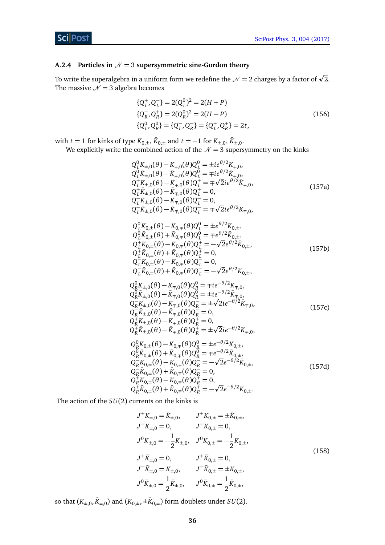# **ScilPost**

# <span id="page-36-0"></span>**A.2.4** Particles in  $N = 3$  supersymmetric sine-Gordon theory

To write the superalgebra in a uniform form we redefine the  ${\cal N}$  = 2 charges by a factor of  $\sqrt{2}.$ The massive  $N = 3$  algebra becomes

<span id="page-36-1"></span>
$$
\{Q_L^+, Q_L^-\} = 2(Q_L^0)^2 = 2(H + P)
$$
  
\n
$$
\{Q_R^-, Q_R^+\} = 2(Q_R^0)^2 = 2(H - P)
$$
  
\n
$$
\{Q_L^0, Q_R^0\} = \{Q_L^-, Q_R^-\} = \{Q_L^+, Q_R^+\} = 2t,
$$
\n(156)

with *t* = 1 for kinks of type  $K_{0,\pm}$ ,  $\bar{K}_{0,\pm}$  and *t* = −1 for  $K_{\pm,0}$ ,  $\bar{K}_{\pm,0}$ .

We explicitly write the combined action of the  $N = 3$  supersymmetry on the kinks

$$
Q_{L}^{0}K_{\pm,0}(\theta) - K_{\mp,0}(\theta)Q_{L}^{0} = \pm i e^{\theta/2} K_{\mp,0},
$$
  
\n
$$
Q_{L}^{0}\bar{K}_{\pm,0}(\theta) - \bar{K}_{\mp,0}(\theta)Q_{L}^{0} = \mp i e^{\theta/2} \bar{K}_{\mp,0},
$$
  
\n
$$
Q_{L}^{+}K_{\pm,0}(\theta) - K_{\mp,0}(\theta)Q_{L}^{+} = \mp \sqrt{2}ie^{\theta/2}\bar{K}_{\mp,0},
$$
  
\n
$$
Q_{L}^{+}\bar{K}_{\pm,0}(\theta) - \bar{K}_{\mp,0}(\theta)Q_{L}^{+} = 0,
$$
  
\n
$$
Q_{L}^{-}K_{\pm,0}(\theta) - K_{\mp,0}(\theta)Q_{L}^{-} = 0,
$$
  
\n
$$
Q_{L}^{-}\bar{K}_{\pm,0}(\theta) - \bar{K}_{\mp,0}(\theta)Q_{L}^{-} = \mp \sqrt{2}ie^{\theta/2}K_{\mp,0},
$$
  
\n(157a)

$$
Q_{L}^{0}K_{0,\pm}(\theta) - K_{0,\mp}(\theta)Q_{L}^{0} = \pm e^{\theta/2}K_{0,\pm},
$$
  
\n
$$
Q_{L}^{0}\bar{K}_{0,\pm}(\theta) + \bar{K}_{0,\mp}(\theta)Q_{L}^{0} = \mp e^{\theta/2}\bar{K}_{0,\pm},
$$
  
\n
$$
Q_{L}^{+}K_{0,\pm}(\theta) - K_{0,\mp}(\theta)Q_{L}^{+} = -\sqrt{2}e^{\theta/2}\bar{K}_{0,\pm},
$$
  
\n
$$
Q_{L}^{+}\bar{K}_{0,\pm}(\theta) + \bar{K}_{0,\mp}(\theta)Q_{L}^{+} = 0,
$$
  
\n
$$
Q_{L}^{-}K_{0,\pm}(\theta) - K_{0,\mp}(\theta)Q_{L}^{-} = 0,
$$
  
\n
$$
Q_{L}^{-}\bar{K}_{0,\pm}(\theta) + \bar{K}_{0,\mp}(\theta)Q_{L}^{-} = -\sqrt{2}e^{\theta/2}K_{0,\pm},
$$
  
\n(157b)

$$
Q_R^0 K_{\pm,0}(\theta) - K_{\mp,0}(\theta) Q_R^0 = \mp i e^{-\theta/2} K_{\mp,0},
$$
  
\n
$$
Q_R^0 \bar{K}_{\pm,0}(\theta) - \bar{K}_{\mp,0}(\theta) Q_R^0 = \pm i e^{-\theta/2} \bar{K}_{\mp,0},
$$
  
\n
$$
Q_R^- K_{\pm,0}(\theta) - K_{\mp,0}(\theta) Q_R^- = \pm \sqrt{2} i e^{-\theta/2} \bar{K}_{\mp,0},
$$
  
\n
$$
Q_R^- \bar{K}_{\pm,0}(\theta) - \bar{K}_{\mp,0}(\theta) Q_R^- = 0,
$$
  
\n
$$
Q_R^+ K_{\pm,0}(\theta) - K_{\mp,0}(\theta) Q_R^+ = 0,
$$
  
\n
$$
Q_R^+ \bar{K}_{\pm,0}(\theta) - \bar{K}_{\mp,0}(\theta) Q_R^+ = \pm \sqrt{2} i e^{-\theta/2} K_{\mp,0},
$$
  
\n(157c)

$$
Q_{R}^{0}K_{0,\pm}(\theta) - K_{0,\mp}(\theta)Q_{R}^{0} = \pm e^{-\theta/2}K_{0,\pm},
$$
  
\n
$$
Q_{R}^{0}\bar{K}_{0,\pm}(\theta) + \bar{K}_{0,\mp}(\theta)Q_{R}^{0} = \mp e^{-\theta/2}\bar{K}_{0,\pm},
$$
  
\n
$$
Q_{R}^{-}K_{0,\pm}(\theta) - K_{0,\mp}(\theta)Q_{R}^{-} = -\sqrt{2}e^{-\theta/2}\bar{K}_{0,\pm},
$$
  
\n
$$
Q_{R}^{-}\bar{K}_{0,\pm}(\theta) + \bar{K}_{0,\mp}(\theta)Q_{R}^{-} = 0,
$$
  
\n
$$
Q_{R}^{+}K_{0,\pm}(\theta) - K_{0,\mp}(\theta)Q_{R}^{+} = 0,
$$
  
\n
$$
Q_{R}^{+}\bar{K}_{0,\pm}(\theta) + \bar{K}_{0,\mp}(\theta)Q_{R}^{+} = -\sqrt{2}e^{-\theta/2}K_{0,\pm}.
$$
\n(157d)

<span id="page-36-2"></span>The action of the *SU*(2) currents on the kinks is

$$
J^{+}K_{\pm,0} = \bar{K}_{\pm,0}, \qquad J^{+}K_{0,\pm} = \pm \bar{K}_{0,\pm},
$$
  
\n
$$
J^{-}K_{\pm,0} = 0, \qquad J^{-}K_{0,\pm} = 0,
$$
  
\n
$$
J^{0}K_{\pm,0} = -\frac{1}{2}K_{\pm,0}, \quad J^{0}K_{0,\pm} = -\frac{1}{2}K_{0,\pm},
$$
  
\n
$$
J^{+}\bar{K}_{\pm,0} = 0, \qquad J^{+}\bar{K}_{0,\pm} = 0,
$$
  
\n
$$
J^{-}\bar{K}_{\pm,0} = K_{\pm,0}, \qquad J^{-}\bar{K}_{0,\pm} = \pm K_{0,\pm},
$$
  
\n
$$
J^{0}\bar{K}_{\pm,0} = \frac{1}{2}\bar{K}_{\pm,0}, \qquad J^{0}\bar{K}_{0,\pm} = \frac{1}{2}\bar{K}_{0,\pm},
$$
  
\n(158)

so that  $(K_{\pm,0}, \bar{K}_{\pm,0})$  and  $(K_{0,\pm},\pm \bar{K}_{0,\pm})$  form doublets under  $SU(2)$ .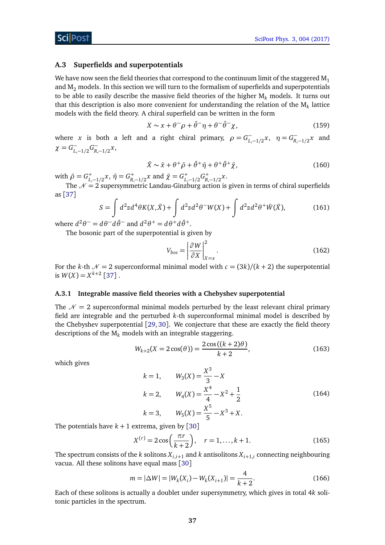## <span id="page-37-0"></span>**A.3 Superfields and superpotentials**

We have now seen the field theories that correspond to the continuum limit of the staggered  $M_1$ and  $M<sub>2</sub>$  models. In this section we will turn to the formalism of superfields and superpotentials to be able to easily describe the massive field theories of the higher  $M_k$  models. It turns out that this description is also more convenient for understanding the relation of the  $\mathsf{M}_k$  lattice models with the field theory. A chiral superfield can be written in the form

$$
X \sim x + \theta^{-} \rho + \bar{\theta}^{-} \eta + \theta^{-} \bar{\theta}^{-} \chi, \qquad (159)
$$

where *x* is both a left and a right chiral primary,  $\rho = G_L^ L_{L-1/2}$  *x*, *η* =  $G_{R_1}$ *R*,−1*/*2 *x* and  $\chi = G^-_L$ −<br>*L*,−1/2<sup>*G*<sub>R</sub></sup>, *R*,−1*/*2 *x*,

$$
\bar{X} \sim \bar{x} + \theta^+ \bar{\rho} + \bar{\theta}^+ \bar{\eta} + \theta^+ \bar{\theta}^+ \bar{\chi}, \qquad (160)
$$

with  $\bar{\rho} = G_{L,-1/2}^+ x$ ,  $\bar{\eta} = G_{R,-1/2}^+ x$  and  $\bar{\chi} = G_{L,-1/2}^+ G_{R,-1/2}^+ x$ .

The  $\mathcal{N}=2$  supersymmetric Landau-Ginzburg action is given in terms of chiral superfields as [[37](#page-40-9)]

$$
S = \int d^2z d^4\theta K(X,\bar{X}) + \int d^2z d^2\theta^- W(X) + \int d^2z d^2\theta^+ \bar{W}(\bar{X}),\tag{161}
$$

where  $d^2\theta^- = d\theta^- d\bar{\theta}^-$  and  $d^2\theta^+ = d\theta^+ d\bar{\theta}^+$ .

The bosonic part of the superpotential is given by

$$
V_{bos} = \left| \frac{\partial W}{\partial X} \right|_{X=x}^{2}.
$$
 (162)

For the *k*-th  $\mathcal{N} = 2$  superconformal minimal model with  $c = \frac{3k}{k+2}$  the superpotential is  $W(X) = X^{k+2}$  [[37](#page-40-9)].

#### <span id="page-37-1"></span>**A.3.1 Integrable massive field theories with a Chebyshev superpotential**

The  $\mathcal{N} = 2$  superconformal minimal models perturbed by the least relevant chiral primary field are integrable and the perturbed *k*-th superconformal minimal model is described by the Chebyshev superpotential [[29,](#page-40-1) [30](#page-40-2)]. We conjecture that these are exactly the field theory descriptions of the M*<sup>k</sup>* models with an integrable staggering.

$$
W_{k+2}(X = 2\cos(\theta)) = \frac{2\cos((k+2)\theta)}{k+2},
$$
\n(163)

which gives

$$
k = 1, \t W_3(X) = \frac{X^3}{3} - X
$$
  
\n
$$
k = 2, \t W_4(X) = \frac{X^4}{4} - X^2 + \frac{1}{2}
$$
  
\n
$$
k = 3, \t W_5(X) = \frac{X^5}{5} - X^3 + X.
$$
\n(164)

The potentials have  $k + 1$  extrema, given by [[30](#page-40-2)]

$$
X^{(r)} = 2\cos\left(\frac{\pi r}{k+2}\right), \quad r = 1, \dots, k+1.
$$
 (165)

The spectrum consists of the  $k$  solitons  $X_{i,i+1}$  and  $k$  antisolitons  $X_{i+1,i}$  connecting neighbouring vacua. All these solitons have equal mass [[30](#page-40-2)]

$$
m = |\Delta W| = |W_k(X_i) - W_k(X_{i+1})| = \frac{4}{k+2}.
$$
\n(166)

Each of these solitons is actually a doublet under supersymmetry, which gives in total 4*k* solitonic particles in the spectrum.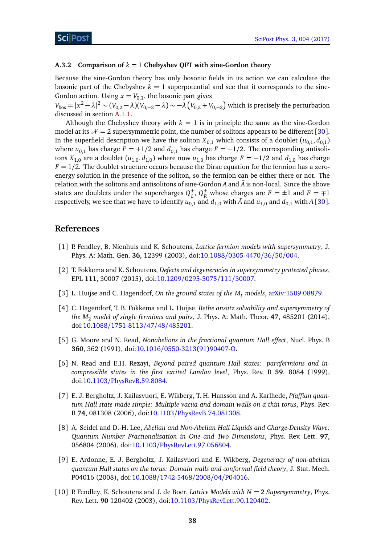#### <span id="page-38-0"></span>**A.3.2 Comparison of** *k* = 1 **Chebyshev QFT with sine-Gordon theory**

Because the sine-Gordon theory has only bosonic fields in its action we can calculate the bosonic part of the Chebyshev  $k = 1$  superpotential and see that it corresponds to the sine-Gordon action. Using  $x = V_{0,1}$ , the bosonic part gives

 $V_{\rm bos}=|x^2-\lambda|^2\thicksim (V_{0,2}-\lambda)(V_{0,-2}-\lambda)\thicksim-\lambda\left(V_{0,2}+V_{0,-2}\right)$  which is precisely the perturbation discussed in section [A.1.1.](#page-32-0)

Although the Chebyshev theory with  $k = 1$  is in principle the same as the sine-Gordon model at its  $\mathcal{N} = 2$  supersymmetric point, the number of solitons appears to be different [[30](#page-40-2)]. In the superfield description we have the soliton  $X_{0,1}$  which consists of a doublet  $(u_{0,1}, d_{0,1})$ where  $u_{0,1}$  has charge  $F = +1/2$  and  $d_{0,1}$  has charge  $F = -1/2$ . The corresponding antisolitons  $X_{1,0}$  are a doublet  $(u_{1,0}, d_{1,0})$  where now  $u_{1,0}$  has charge  $F = -1/2$  and  $d_{1,0}$  has charge  $F = 1/2$ . The doublet structure occurs because the Dirac equation for the fermion has a zeroenergy solution in the presence of the soliton, so the fermion can be either there or not. The relation with the solitons and antisolitons of sine-Gordon  $A$  and  $\overline{A}$  is non-local. Since the above states are doublets under the supercharges  $Q^{\pm}_{I}$  $L<sup>±</sup>$ ,  $Q<sup>±</sup>$ <sub>*R*</sub> whose charges are *F* = ±1 and *F* =  $\mp$ 1 respectively, we see that we have to identify  $u_{0,1}$  and  $d_{1,0}$  with  $\bar{A}$  and  $u_{1,0}$  and  $d_{0,1}$  with A [[30](#page-40-2)].

# **References**

- <span id="page-38-1"></span>[1] P. Fendley, B. Nienhuis and K. Schoutens, *Lattice fermion models with supersymmetry*, J. Phys. A: Math. Gen. **36**, 12399 (2003), doi:10.1088/[0305-4470](http://dx.doi.org/10.1088/0305-4470/36/50/004)/36/50/004.
- <span id="page-38-2"></span>[2] T. Fokkema and K. Schoutens, *Defects and degeneracies in supersymmetry protected phases*, EPL **111**, 30007 (2015), doi:10.1209/[0295-5075](http://dx.doi.org/10.1209/0295-5075/111/30007)/111/30007.
- <span id="page-38-3"></span>[3] L. Huijse and C. Hagendorf, *On the ground states of the M` models*, [arXiv:1509.08879.](https://arxiv.org/abs/1509.08879)
- <span id="page-38-4"></span>[4] C. Hagendorf, T. B. Fokkema and L. Huijse, *Bethe ansatz solvability and supersymmetry of the M*<sup>2</sup> *model of single fermions and pairs*, J. Phys. A: Math. Theor. **47**, 485201 (2014), doi:10.1088/[1751-8113](http://dx.doi.org/10.1088/1751-8113/47/48/485201)/47/48/485201.
- <span id="page-38-5"></span>[5] G. Moore and N. Read, *Nonabelions in the fractional quantum Hall effect*, Nucl. Phys. B **360**, 362 (1991), doi:10.1016/[0550-3213\(91\)90407-O.](http://dx.doi.org/10.1016/0550-3213(91)90407-O)
- <span id="page-38-6"></span>[6] N. Read and E.H. Rezayi, *Beyond paired quantum Hall states: parafermions and incompressible states in the first excited Landau level*, Phys. Rev. B **59**, 8084 (1999), doi:10.1103/[PhysRevB.59.8084.](http://dx.doi.org/10.1103/PhysRevB.59.8084)
- <span id="page-38-7"></span>[7] E. J. Bergholtz, J. Kailasvuori, E. Wikberg, T. H. Hansson and A. Karlhede, *Pfaffian quantum Hall state made simple: Multiple vacua and domain walls on a thin torus*, Phys. Rev. B **74**, 081308 (2006), doi:10.1103/[PhysRevB.74.081308.](http://dx.doi.org/10.1103/PhysRevB.74.081308)
- [8] A. Seidel and D.-H. Lee, *Abelian and Non-Abelian Hall Liquids and Charge-Density Wave: Quantum Number Fractionalization in One and Two Dimensions*, Phys. Rev. Lett. **97**, 056804 (2006), doi:10.1103/[PhysRevLett.97.056804.](http://dx.doi.org/10.1103/PhysRevLett.97.056804)
- <span id="page-38-8"></span>[9] E. Ardonne, E. J. Bergholtz, J. Kailasvuori and E. Wikberg, *Degeneracy of non-abelian quantum Hall states on the torus: Domain walls and conformal field theory*, J. Stat. Mech. P04016 (2008), doi:10.1088/[1742-5468](http://dx.doi.org/10.1088/1742-5468/2008/04/P04016)/2008/04/P04016.
- <span id="page-38-9"></span>[10] P. Fendley, K. Schoutens and J. de Boer, *Lattice Models with N* = 2 *Supersymmetry*, Phys. Rev. Lett. **90** 120402 (2003), doi:10.1103/[PhysRevLett.90.120402.](http://dx.doi.org/10.1103/PhysRevLett.90.120402)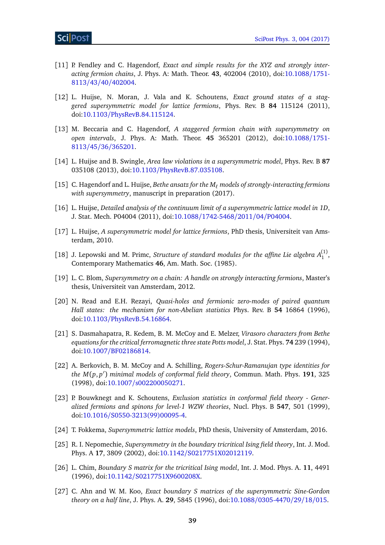- <span id="page-39-0"></span>[11] P. Fendley and C. Hagendorf, *Exact and simple results for the XYZ and strongly interacting fermion chains*, J. Phys. A: Math. Theor. **43**, 402004 (2010), doi[:10.1088](http://dx.doi.org/10.1088/1751-8113/43/40/402004)/1751- 8113/43/40/[402004.](http://dx.doi.org/10.1088/1751-8113/43/40/402004)
- <span id="page-39-1"></span>[12] L. Huijse, N. Moran, J. Vala and K. Schoutens, *Exact ground states of a staggered supersymmetric model for lattice fermions*, Phys. Rev. B **84** 115124 (2011), doi:10.1103/[PhysRevB.84.115124.](http://dx.doi.org/10.1103/PhysRevB.84.115124)
- [13] M. Beccaria and C. Hagendorf, *A staggered fermion chain with supersymmetry on open intervals*, J. Phys. A: Math. Theor. **45** 365201 (2012), doi[:10.1088](http://dx.doi.org/10.1088/1751-8113/45/36/365201)/1751- 8113/45/36/[365201.](http://dx.doi.org/10.1088/1751-8113/45/36/365201)
- <span id="page-39-2"></span>[14] L. Huijse and B. Swingle, *Area law violations in a supersymmetric model*, Phys. Rev. B **87** 035108 (2013), doi:10.1103/[PhysRevB.87.035108.](http://dx.doi.org/10.1103/PhysRevB.87.035108)
- <span id="page-39-3"></span>[15] C. Hagendorf and L. Huijse, *Bethe ansatz for the M` models of strongly-interacting fermions with supersymmetry*, manuscript in preparation (2017).
- <span id="page-39-5"></span>[16] L. Huijse, *Detailed analysis of the continuum limit of a supersymmetric lattice model in 1D*, J. Stat. Mech. P04004 (2011), doi:10.1088/[1742-5468](http://dx.doi.org/10.1088/1742-5468/2011/04/P04004)/2011/04/P04004.
- <span id="page-39-6"></span>[17] L. Huijse, *A supersymmetric model for lattice fermions*, PhD thesis, Universiteit van Amsterdam, 2010.
- <span id="page-39-7"></span>[18] J. Lepowski and M. Primc, *Structure of standard modules for the affine Lie algebra*  $A_1^{(1)}$ , Contemporary Mathematics **46**, Am. Math. Soc. (1985).
- <span id="page-39-4"></span>[19] L. C. Blom, *Supersymmetry on a chain: A handle on strongly interacting fermions*, Master's thesis, Universiteit van Amsterdam, 2012.
- <span id="page-39-9"></span>[20] N. Read and E.H. Rezayi, *Quasi-holes and fermionic zero-modes of paired quantum Hall states: the mechanism for non-Abelian statistics* Phys. Rev. B **54** 16864 (1996), doi:10.1103/[PhysRevB.54.16864.](http://dx.doi.org/10.1103/PhysRevB.54.16864)
- <span id="page-39-10"></span>[21] S. Dasmahapatra, R. Kedem, B. M. McCoy and E. Melzer, *Virasoro characters from Bethe equations for the critical ferromagnetic three state Potts model*, J. Stat. Phys. **74** 239 (1994), doi:10.1007/[BF02186814.](http://dx.doi.org/10.1007/BF02186814)
- [22] A. Berkovich, B. M. McCoy and A. Schilling, *Rogers-Schur-Ramanujan type identities for the M*(*p*, *p* 0 ) *minimal models of conformal field theory*, Commun. Math. Phys. **191**, 325 (1998), doi:10.1007/[s002200050271.](http://dx.doi.org/10.1007/s002200050271)
- <span id="page-39-11"></span>[23] P. Bouwknegt and K. Schoutens, *Exclusion statistics in conformal field theory - Generalized fermions and spinons for level-1 WZW theories*, Nucl. Phys. B **547**, 501 (1999), doi:10.1016/[S0550-3213\(99\)00095-4.](http://dx.doi.org/10.1016/S0550-3213(99)00095-4)
- <span id="page-39-8"></span>[24] T. Fokkema, *Supersymmetric lattice models*, PhD thesis, University of Amsterdam, 2016.
- <span id="page-39-12"></span>[25] R. I. Nepomechie, *Supersymmetry in the boundary tricritical Ising field theory*, Int. J. Mod. Phys. A **17**, 3809 (2002), doi:10.1142/[S0217751X02012119.](http://dx.doi.org/10.1142/S0217751X02012119)
- [26] L. Chim, *Boundary S matrix for the tricritical Ising model*, Int. J. Mod. Phys. A. **11**, 4491 (1996), doi:10.1142/[S0217751X9600208X.](http://dx.doi.org/10.1142/S0217751X9600208X)
- <span id="page-39-13"></span>[27] C. Ahn and W. M. Koo, *Exact boundary S matrices of the supersymmetric Sine-Gordon theory on a half line*, J. Phys. A. **29**, 5845 (1996), doi:10.1088/[0305-4470](http://dx.doi.org/10.1088/0305-4470/29/18/015)/29/18/015.